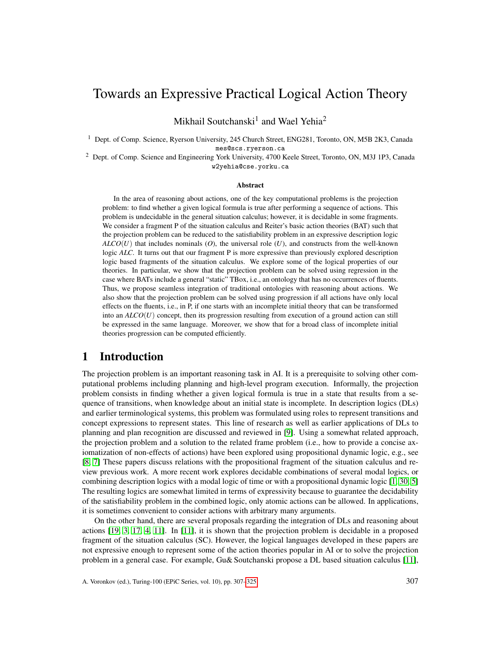## Towards an Expressive Practical Logical Action Theory

Mikhail Soutchanski $^1$  and Wael Yehia<sup>2</sup>

<sup>1</sup> Dept. of Comp. Science, Ryerson University, 245 Church Street, ENG281, Toronto, ON, M5B 2K3, Canada mes@scs.ryerson.ca

<sup>2</sup> Dept. of Comp. Science and Engineering York University, 4700 Keele Street, Toronto, ON, M3J 1P3, Canada w2yehia@cse.yorku.ca

#### Abstract

In the area of reasoning about actions, one of the key computational problems is the projection problem: to find whether a given logical formula is true after performing a sequence of actions. This problem is undecidable in the general situation calculus; however, it is decidable in some fragments. We consider a fragment P of the situation calculus and Reiter's basic action theories (BAT) such that the projection problem can be reduced to the satisfiability problem in an expressive description logic *ALCO*(*U*) that includes nominals (*O*), the universal role (*U*), and constructs from the well-known logic *ALC*. It turns out that our fragment P is more expressive than previously explored description logic based fragments of the situation calculus. We explore some of the logical properties of our theories. In particular, we show that the projection problem can be solved using regression in the case where BATs include a general "static" TBox, i.e., an ontology that has no occurrences of fluents. Thus, we propose seamless integration of traditional ontologies with reasoning about actions. We also show that the projection problem can be solved using progression if all actions have only local effects on the fluents, i.e., in P, if one starts with an incomplete initial theory that can be transformed into an *ALCO*(*U*) concept, then its progression resulting from execution of a ground action can still be expressed in the same language. Moreover, we show that for a broad class of incomplete initial theories progression can be computed efficiently.

### 1 Introduction

The projection problem is an important reasoning task in AI. It is a prerequisite to solving other computational problems including planning and high-level program execution. Informally, the projection problem consists in finding whether a given logical formula is true in a state that results from a sequence of transitions, when knowledge about an initial state is incomplete. In description logics (DLs) and earlier terminological systems, this problem was formulated using roles to represent transitions and concept expressions to represent states. This line of research as well as earlier applications of DLs to planning and plan recognition are discussed and reviewed in [\[9\]](#page-17-0). Using a somewhat related approach, the projection problem and a solution to the related frame problem (i.e., how to provide a concise axiomatization of non-effects of actions) have been explored using propositional dynamic logic, e.g., see [\[8,](#page-17-1) [7\]](#page-17-2) These papers discuss relations with the propositional fragment of the situation calculus and review previous work. A more recent work explores decidable combinations of several modal logics, or combining description logics with a modal logic of time or with a propositional dynamic logic [\[1,](#page-17-3) [30,](#page-18-0) [5\]](#page-17-4) The resulting logics are somewhat limited in terms of expressivity because to guarantee the decidability of the satisfiability problem in the combined logic, only atomic actions can be allowed. In applications, it is sometimes convenient to consider actions with arbitrary many arguments.

On the other hand, there are several proposals regarding the integration of DLs and reasoning about actions [\[19,](#page-17-5) [3,](#page-17-6) [17,](#page-17-7) [4,](#page-17-8) [11\]](#page-17-9). In [\[11\]](#page-17-9), it is shown that the projection problem is decidable in a proposed fragment of the situation calculus (SC). However, the logical languages developed in these papers are not expressive enough to represent some of the action theories popular in AI or to solve the projection problem in a general case. For example, Gu& Soutchanski propose a DL based situation calculus [\[11\]](#page-17-9),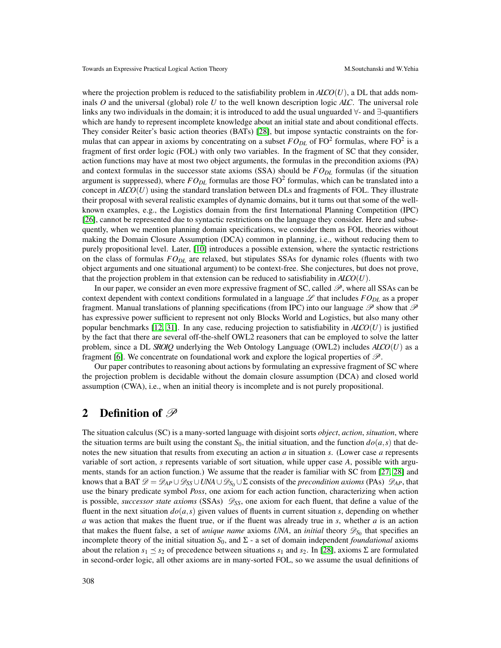where the projection problem is reduced to the satisfiability problem in  $ALO(U)$ , a DL that adds nominals *O* and the universal (global) role *U* to the well known description logic *ALC*. The universal role links any two individuals in the domain; it is introduced to add the usual unguarded ∀- and ∃-quantifiers which are handy to represent incomplete knowledge about an initial state and about conditional effects. They consider Reiter's basic action theories (BATs) [\[28\]](#page-18-2), but impose syntactic constraints on the formulas that can appear in axioms by concentrating on a subset  $F O_{DL}$  of  $FO<sup>2</sup>$  formulas, where  $FO<sup>2</sup>$  is a fragment of first order logic (FOL) with only two variables. In the fragment of SC that they consider, action functions may have at most two object arguments, the formulas in the precondition axioms (PA) and context formulas in the successor state axioms (SSA) should be *FODL* formulas (if the situation argument is suppressed), where  $F O_{DL}$  formulas are those  $F O^2$  formulas, which can be translated into a concept in  $ALO(U)$  using the standard translation between DLs and fragments of FOL. They illustrate their proposal with several realistic examples of dynamic domains, but it turns out that some of the wellknown examples, e.g., the Logistics domain from the first International Planning Competition (IPC) [\[26\]](#page-18-3), cannot be represented due to syntactic restrictions on the language they consider. Here and subsequently, when we mention planning domain specifications, we consider them as FOL theories without making the Domain Closure Assumption (DCA) common in planning, i.e., without reducing them to purely propositional level. Later, [\[10\]](#page-17-10) introduces a possible extension, where the syntactic restrictions on the class of formulas *FODL* are relaxed, but stipulates SSAs for dynamic roles (fluents with two object arguments and one situational argument) to be context-free. She conjectures, but does not prove, that the projection problem in that extension can be reduced to satisfiability in  $AICO(U)$ .

In our paper, we consider an even more expressive fragment of SC, called  $\mathscr P$ , where all SSAs can be context dependent with context conditions formulated in a language  $L$  that includes  $FO_{DL}$  as a proper fragment. Manual translations of planning specifications (from IPC) into our language  $\mathscr P$  show that  $\mathscr P$ has expressive power sufficient to represent not only Blocks World and Logistics, but also many other popular benchmarks [\[12,](#page-17-11) [31\]](#page-18-4). In any case, reducing projection to satisfiability in  $AICO(U)$  is justified by the fact that there are several off-the-shelf OWL2 reasoners that can be employed to solve the latter problem, since a DL *SROIQ* underlying the Web Ontology Language (OWL2) includes *ALCO*(*U*) as a fragment [\[6\]](#page-17-12). We concentrate on foundational work and explore the logical properties of  $\mathscr{P}$ .

Our paper contributes to reasoning about actions by formulating an expressive fragment of SC where the projection problem is decidable without the domain closure assumption (DCA) and closed world assumption (CWA), i.e., when an initial theory is incomplete and is not purely propositional.

#### 2 Definition of  $\mathscr P$

The situation calculus (SC) is a many-sorted language with disjoint sorts *object*, *action*, *situation*, where the situation terms are built using the constant  $S_0$ , the initial situation, and the function  $d\rho(a,s)$  that denotes the new situation that results from executing an action *a* in situation *s*. (Lower case *a* represents variable of sort action, *s* represents variable of sort situation, while upper case *A*, possible with arguments, stands for an action function.) We assume that the reader is familiar with SC from [\[27,](#page-18-5) [28\]](#page-18-2) and knows that a BAT  $\mathscr{D} = \mathscr{D}_{AP} \cup \mathscr{D}_{SS} \cup UNA \cup \mathscr{D}_{S_0} \cup \Sigma$  consists of the *precondition axioms* (PAs)  $\mathscr{D}_{AP}$ , that use the binary predicate symbol *Poss*, one axiom for each action function, characterizing when action is possible, *successor state axioms* (SSAs)  $\mathscr{D}_{SS}$ , one axiom for each fluent, that define a value of the fluent in the next situation  $do(a, s)$  given values of fluents in current situation *s*, depending on whether *a* was action that makes the fluent true, or if the fluent was already true in *s*, whether *a* is an action that makes the fluent false, a set of *unique name* axioms *UNA*, an *initial* theory  $\mathscr{D}_{S_0}$  that specifies an incomplete theory of the initial situation  $S_0$ , and  $\Sigma$  - a set of domain independent *foundational* axioms about the relation  $s_1 \preceq s_2$  of precedence between situations  $s_1$  and  $s_2$ . In [\[28\]](#page-18-2), axioms  $\Sigma$  are formulated in second-order logic, all other axioms are in many-sorted FOL, so we assume the usual definitions of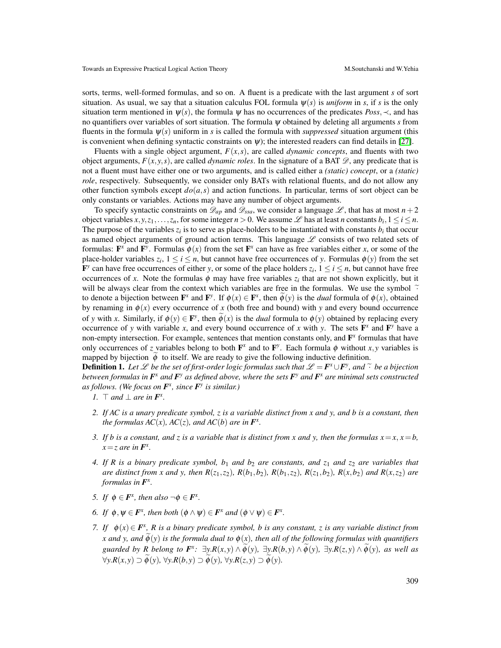sorts, terms, well-formed formulas, and so on. A fluent is a predicate with the last argument *s* of sort situation. As usual, we say that a situation calculus FOL formula  $\psi(s)$  is *uniform* in *s*, if *s* is the only situation term mentioned in  $\psi(s)$ , the formula  $\psi$  has no occurrences of the predicates *Poss*,  $\prec$ , and has no quantifiers over variables of sort situation. The formula ψ obtained by deleting all arguments *s* from fluents in the formula  $\psi(s)$  uniform in *s* is called the formula with *suppressed* situation argument (this is convenient when defining syntactic constraints on  $\psi$ ); the interested readers can find details in [\[27\]](#page-18-5).

Fluents with a single object argument,  $F(x, s)$ , are called *dynamic concepts*, and fluents with two object arguments,  $F(x, y, s)$ , are called *dynamic roles*. In the signature of a BAT  $\mathscr{D}$ , any predicate that is not a fluent must have either one or two arguments, and is called either a *(static) concept*, or a *(static) role*, respectively. Subsequently, we consider only BATs with relational fluents, and do not allow any other function symbols except  $do(a, s)$  and action functions. In particular, terms of sort object can be only constants or variables. Actions may have any number of object arguments.

To specify syntactic constraints on  $\mathscr{D}_{ap}$  and  $\mathscr{D}_{ssa}$ , we consider a language  $\mathscr{L}$ , that has at most  $n+2$ object variables  $x, y, z_1, \ldots, z_n$ , for some integer  $n > 0$ . We assume  $\mathscr L$  has at least *n* constants  $b_i, 1 \le i \le n$ . The purpose of the variables  $z_i$  is to serve as place-holders to be instantiated with constants  $b_i$  that occur as named object arguments of ground action terms. This language  $L$  consists of two related sets of formulas:  $\mathbf{F}^x$  and  $\mathbf{F}^y$ . Formulas  $\phi(x)$  from the set  $\mathbf{F}^x$  can have as free variables either *x*, or some of the place-holder variables  $z_i$ ,  $1 \le i \le n$ , but cannot have free occurrences of *y*. Formulas  $\phi(y)$  from the set  $\mathbf{F}^y$  can have free occurrences of either *y*, or some of the place holders  $z_i$ ,  $1 \le i \le n$ , but cannot have free occurrences of *x*. Note the formulas  $\phi$  may have free variables  $z_i$  that are not shown explicitly, but it will be always clear from the context which variables are free in the formulas. We use the symbol  $\tilde{\cdot}$ to denote a bijection between  $\mathbf{F}^x$  and  $\mathbf{F}^y$ . If  $\phi(x) \in \mathbf{F}^x$ , then  $\widetilde{\phi}(y)$  is the *dual* formula of  $\phi(x)$ , obtained by renaming in  $\phi(x)$  every occurrence of x (both free and bound) with y and every bound occurrence of *y* with *x*. Similarly, if  $\phi(y) \in \mathbf{F}^y$ , then  $\widetilde{\phi}(x)$  is the *dual* formula to  $\phi(y)$  obtained by replacing every occurrence of *y* with variable *x*, and every bound occurrence of *x* with *y*. The sets  $\mathbf{F}^x$  and  $\mathbf{F}^y$  have a non-empty intersection. For example, sentences that mention constants only, and F *x* formulas that have only occurrences of *z* variables belong to both  $\mathbf{F}^x$  and to  $\mathbf{F}^y$ . Each formula  $\phi$  without *x*, *y* variables is mapped by bijection  $\phi$  to itself. We are ready to give the following inductive definition.

**Definition 1.** Let  $\mathcal{L}$  be the set of first-order logic formulas such that  $\mathcal{L} = F^x \cup F^y$ , and  $\tilde{\cdot}$  be a bijection between formulas in  $F^x$  and  $F^y$  as defined above, where the sets  $F^y$  and  $F^x$  are minim *between formulas in F x and F y as defined above, where the sets F y and F x are minimal sets constructed as follows. (We focus on F x , since F y is similar.)*

- *1.*  $\top$  *and*  $\bot$  *are in*  $\mathbf{F}^x$ *.*
- *2. If AC is a unary predicate symbol, z is a variable distinct from x and y, and b is a constant, then the formulas*  $AC(x)$ *,*  $AC(z)$ *, and*  $AC(b)$  *are in*  $F^x$ *.*
- *3. If b is a constant, and z is a variable that is distinct from x and y, then the formulas*  $x = x$ *,*  $x = b$ *,*  $x = z$  are in  $\mathbf{F}^x$ .
- *4. If R is a binary predicate symbol, b*<sup>1</sup> *and b*<sup>2</sup> *are constants, and z*<sup>1</sup> *and z*<sup>2</sup> *are variables that* are distinct from x and y, then  $R(z_1, z_2)$ ,  $R(b_1, b_2)$ ,  $R(b_1, z_2)$ ,  $R(z_1, b_2)$ ,  $R(x, b_2)$  and  $R(x, z_2)$  are *formulas in*  $\mathbf{F}^x$ .
- *5. If*  $\phi \in \mathbf{F}^x$ , then also  $\neg \phi \in \mathbf{F}^x$ .
- *6. If*  $\phi, \psi \in \mathbf{F}^x$ , then both  $(\phi \land \psi) \in \mathbf{F}^x$  and  $(\phi \lor \psi) \in \mathbf{F}^x$ .
- *7.* If  $\phi(x) \in \mathbf{F}^x$ , R is a binary predicate symbol, b is any constant, z is any variable distinct from *x* and *y*, and  $\dot{\phi}(y)$  *is the formula dual to*  $\dot{\phi}(x)$ *, then all of the following formulas with quantifiers* guarded by R belong to  $F^x$ :  $\exists y.R(x,y) \wedge \widetilde{\phi}(y)$ ,  $\exists y.R(b,y) \wedge \widetilde{\phi}(y)$ ,  $\exists y.R(z,y) \wedge \widetilde{\phi}(y)$ , as well as  $\forall y. R(x, y) \supset \phi(y), \forall y. R(b, y) \supset \phi(y), \forall y. R(z, y) \supset \phi(y).$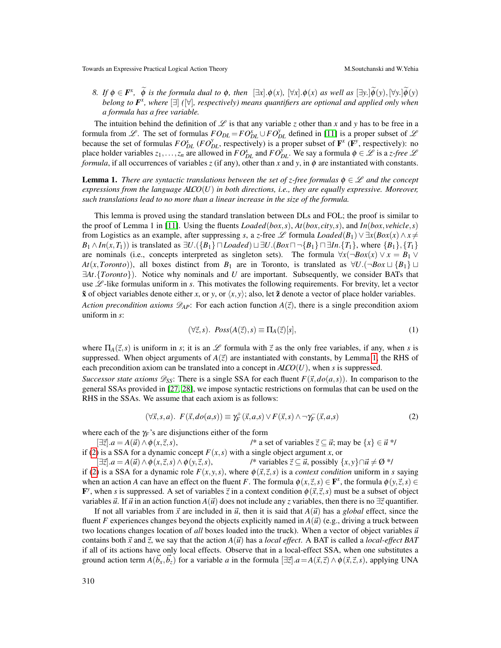*8. If*  $\phi \in \mathbf{F}^x$ ,  $\widetilde{\phi}$  *is the formula dual to*  $\phi$ *, then*  $[\exists x] \cdot \phi(x)$ ,  $[\forall x] \cdot \phi(x)$  *as well as*  $[\exists y] \cdot \widetilde{\phi}(y)$ ,  $[\forall y] \cdot \widetilde{\phi}(y)$ *belong to F x , where* [∃] *(*[∀]*, respectively) means quantifiers are optional and applied only when a formula has a free variable.*

The intuition behind the definition of  $\mathscr L$  is that any variable *z* other than *x* and *y* has to be free in a formula from  $L$ . The set of formulas  $F O_{DL} = F O_{DL}^x \cup F O_{DL}^y$  defined in [\[11\]](#page-17-9) is a proper subset of  $L$ because the set of formulas  $FO_{DL}^x$  ( $FO_{DL}^y$ , respectively) is a proper subset of  $\mathbf{F}^x$  ( $\mathbf{F}^y$ , respectively): no place holder variables  $z_1, \ldots, z_n$  are allowed in  $FO_{DL}^x$  and  $FO_{DL}^y$ . We say a formula  $\phi \in \mathscr{L}$  is a *z-free*  $\mathscr{L}$ *formula*, if all occurrences of variables *z* (if any), other than *x* and *y*, in  $\phi$  are instantiated with constants.

<span id="page-3-0"></span>**Lemma 1.** *There are syntactic translations between the set of z-free formulas*  $\phi \in \mathcal{L}$  *and the concept expressions from the language ALCO*(*U*) *in both directions, i.e., they are equally expressive. Moreover, such translations lead to no more than a linear increase in the size of the formula.*

This lemma is proved using the standard translation between DLs and FOL; the proof is similar to the proof of Lemma 1 in [\[11\]](#page-17-9). Using the fluents *Loaded*(*box*,*s*), *At*(*box*, *city*,*s*), and *In*(*box*, *vehicle*,*s*) from Logistics as an example, after suppressing *s*, a *z*-free L formula *Loaded*( $B_1$ )  $\vee \exists x(Box(x) \land x \neq 0)$  $B_1 \wedge In(x, T_1)$  is translated as  $\exists U.({B_1} \cap Loaded) \sqcup \exists U.(Box \cap \{B_1\} \cap \exists In.({T_1}\},\text{ where }\{B_1\},\{T_1\})$ are nominals (i.e., concepts interpreted as singleton sets). The formula  $\forall x (\neg Box(x) \lor x = B_1 \lor$ *At*(*x*,*Toronto*)), all boxes distinct from *B*<sub>1</sub> are in Toronto, is translated as  $\forall U.(\neg Box \sqcup \{B_1\} \sqcup$ ∃*At*.{*Toronto*}). Notice why nominals and *U* are important. Subsequently, we consider BATs that use  $L$ -like formulas uniform in *s*. This motivates the following requirements. For brevity, let a vector  $\tilde{\mathbf{x}}$  of object variables denote either *x*, or *y*, or  $\langle x, y \rangle$ ; also, let  $\tilde{\mathbf{z}}$  denote a vector of place holder variables. *Action precondition axioms*  $\mathscr{D}_{AP}$ : For each action function  $A(\vec{z})$ , there is a single precondition axiom uniform in *s*:

$$
(\forall \vec{z}, s). \ \ \mathit{Poss}(A(\vec{z}), s) \equiv \Pi_A(\vec{z})[s], \tag{1}
$$

where  $\Pi_A(\vec{z},s)$  is uniform in *s*; it is an  $\mathscr L$  formula with  $\vec{z}$  as the only free variables, if any, when *s* is suppressed. When object arguments of  $A(\vec{z})$  are instantiated with constants, by Lemma [1,](#page-3-0) the RHS of each precondition axiom can be translated into a concept in  $AICO(U)$ , when *s* is suppressed.

*Successor state axioms*  $\mathcal{D}_{SS}$ : There is a single SSA for each fluent  $F(\vec{x},do(a,s))$ . In comparison to the general SSAs provided in [\[27,](#page-18-5) [28\]](#page-18-2), we impose syntactic restrictions on formulas that can be used on the RHS in the SSAs. We assume that each axiom is as follows:

<span id="page-3-1"></span>
$$
(\forall \vec{x}, s, a). \ F(\vec{x}, do(a, s)) \equiv \gamma_F^+(\vec{x}, a, s) \lor F(\vec{x}, s) \land \neg \gamma_F^-(\vec{x}, a, s)
$$
 (2)

where each of the  $\gamma_F$ 's are disjunctions either of the form

 $[\exists \vec{z}].a = A(\vec{u}) \wedge \phi(x, \vec{z}, s),$  /\* a set of variables  $\vec{z} \subseteq \vec{u}$ ; may be  $\{x\} \in \vec{u}$  \*/

if [\(2\)](#page-3-1) is a SSA for a dynamic concept  $F(x, s)$  with a single object argument *x*, or

 $[\exists \vec{z}].a = A(\vec{u}) \wedge \phi(x, \vec{z}, s) \wedge \phi(y, \vec{z}, s),$  /\* variables  $\vec{z} \subseteq \vec{u}$ , possibly  $\{x, y\} \cap \vec{u} \neq \emptyset$  \*/

if [\(2\)](#page-3-1) is a SSA for a dynamic role  $F(x, y, s)$ , where  $\phi(\vec{x}, \vec{z}, s)$  is a *context condition* uniform in *s* saying when an action *A* can have an effect on the fluent *F*. The formula  $\phi(x, \vec{z}, s) \in \mathbf{F}^x$ , the formula  $\phi(y, \vec{z}, s) \in$ F<sup>y</sup>, when *s* is suppressed. A set of variables  $\vec{z}$  in a context condition  $\phi(\vec{x}, \vec{z}, s)$  must be a subset of object variables  $\vec{u}$ . If  $\vec{u}$  in an action function  $A(\vec{u})$  does not include any *z* variables, then there is no  $\exists \vec{z}$  quantifier.

If not all variables from  $\vec{x}$  are included in  $\vec{u}$ , then it is said that  $A(\vec{u})$  has a *global* effect, since the fluent *F* experiences changes beyond the objects explicitly named in  $A(\vec{u})$  (e.g., driving a truck between two locations changes location of *all* boxes loaded into the truck). When a vector of object variables  $\vec{u}$ contains both  $\vec{x}$  and  $\vec{z}$ , we say that the action  $A(\vec{u})$  has a *local effect*. A BAT is called a *local-effect BAT* if all of its actions have only local effects. Observe that in a local-effect SSA, when one substitutes a ground action term  $A(\vec{b}_x, \vec{b}_z)$  for a variable *a* in the formula  $[\exists \vec{z}].a = A(\vec{x}, \vec{z}) \wedge \phi(\vec{x}, \vec{z}, s)$ , applying UNA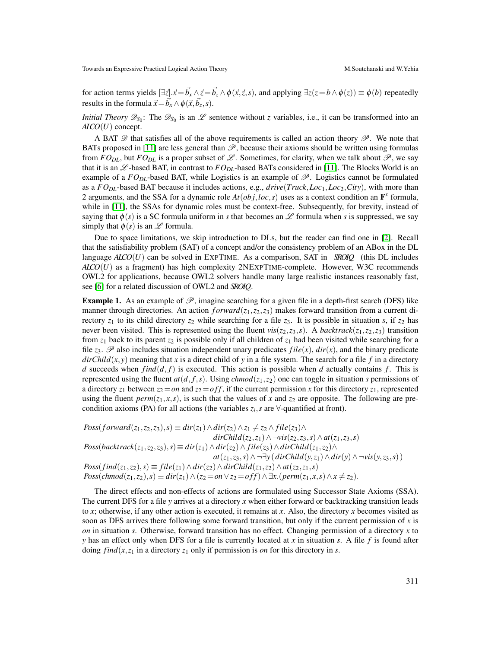for action terms yields  $[\exists \vec{z}]. \vec{x} = \vec{b_x} \land \vec{z} = \vec{b_z} \land \phi(\vec{x}, \vec{z}, s)$ , and applying  $\exists z(z = b \land \phi(z)) \equiv \phi(b)$  repeatedly results in the formula  $\vec{x} = \vec{b}_x \wedge \phi(\vec{x}, \vec{b}_z, s)$ .

*Initial Theory*  $\mathscr{D}_{S_0}$ : The  $\mathscr{D}_{S_0}$  is an  $\mathscr{L}$  sentence without *z* variables, i.e., it can be transformed into an *ALCO*(*U*) concept.

A BAT  $\mathscr{D}$  that satisfies all of the above requirements is called an action theory  $\mathscr{P}$ . We note that BATs proposed in [\[11\]](#page-17-9) are less general than  $\mathcal{P}$ , because their axioms should be written using formulas from  $FO_{DL}$ , but  $FO_{DL}$  is a proper subset of  $L$ . Sometimes, for clarity, when we talk about  $\mathscr{P}$ , we say that it is an  $L$ -based BAT, in contrast to  $FO_{DL}$ -based BATs considered in [\[11\]](#page-17-9). The Blocks World is an example of a  $FO_{DL}$ -based BAT, while Logistics is an example of  $\mathscr{P}$ . Logistics cannot be formulated as a *FO*<sub>DL</sub>-based BAT because it includes actions, e.g., *drive*(*Truck*,*Loc*<sub>1</sub>,*Loc*<sub>2</sub>,*City*), with more than 2 arguments, and the SSA for a dynamic role  $At(obj, loc, s)$  uses as a context condition an  $\mathbf{F}^x$  formula, while in [\[11\]](#page-17-9), the SSAs for dynamic roles must be context-free. Subsequently, for brevity, instead of saying that  $\phi(s)$  is a SC formula uniform in *s* that becomes an L formula when *s* is suppressed, we say simply that  $\phi(s)$  is an  $\mathscr L$  formula.

Due to space limitations, we skip introduction to DLs, but the reader can find one in [\[2\]](#page-17-13). Recall that the satisfiability problem (SAT) of a concept and/or the consistency problem of an ABox in the DL language *ALCO*(*U*) can be solved in EXPTIME. As a comparison, SAT in *SROIQ* (this DL includes *ALCO*(*U*) as a fragment) has high complexity 2NEXPTIME-complete. However, W3C recommends OWL2 for applications, because OWL2 solvers handle many large realistic instances reasonably fast, see [\[6\]](#page-17-12) for a related discussion of OWL2 and *SROIQ*.

**Example 1.** As an example of  $\mathcal{P}$ , imagine searching for a given file in a depth-first search (DFS) like manner through directories. An action  $forward(z_1, z_2, z_3)$  makes forward transition from a current directory  $z_1$  to its child directory  $z_2$  while searching for a file  $z_3$ . It is possible in situation *s*, if  $z_2$  has never been visited. This is represented using the fluent  $vis(z_2, z_3, s)$ . A *backtrack*( $z_1, z_2, z_3$ ) transition from  $z_1$  back to its parent  $z_2$  is possible only if all children of  $z_1$  had been visited while searching for a file  $z_3$ .  $\mathscr P$  also includes situation independent unary predicates *file*(*x*), *dir*(*x*), and the binary predicate  $dirChild(x, y)$  meaning that *x* is a direct child of *y* in a file system. The search for a file *f* in a directory *d* succeeds when  $find(d, f)$  is executed. This action is possible when *d* actually contains *f*. This is represented using the fluent  $at(d, f, s)$ . Using  $chmod(z_1, z_2)$  one can toggle in situation *s* permissions of a directory  $z_1$  between  $z_2 = on$  and  $z_2 = off$ , if the current permission *x* for this directory  $z_1$ , represented using the fluent  $perm(z_1, x, s)$ , is such that the values of x and  $z_2$  are opposite. The following are precondition axioms (PA) for all actions (the variables  $z_i$ , *s* are  $\forall$ -quantified at front).

 $Poss(forward(z_1, z_2, z_3), s) \equiv dir(z_1) \wedge dir(z_2) \wedge z_1 \neq z_2 \wedge file(z_3) \wedge$ *dirChild*(*z*<sub>2</sub>,*z*<sub>1</sub>)∧  $\neg$ *vis*(*z*<sub>2</sub>,*z*<sub>3</sub>,*s*)∧ *at*(*z*<sub>1</sub>,*z*<sub>3</sub>,*s*) *Poss*(*backtrack*(*z*1,*z*2,*z*3),*s*)≡ *dir*(*z*1)∧*dir*(*z*2)∧ *file*(*z*3)∧*dirChild*(*z*1,*z*2)∧ *at*(*z*<sub>1</sub>,*z*<sub>3</sub>,*s*)∧ ¬∃*y*(*dirChild*(*y*,*z*<sub>1</sub>)∧*dir*(*y*)∧ ¬*vis*(*y*,*z*<sub>3</sub>,*s*)) *Poss*(*find*(*z*<sub>1</sub>,*z*<sub>2</sub>),*s*) ≡ *file*(*z*<sub>1</sub>) ∧ *dir*(*z*<sub>2</sub>) ∧ *dirChild*(*z*<sub>1</sub>,*z*<sub>2</sub>) ∧ *at*(*z*<sub>2</sub>,*z*<sub>1</sub>,*s*) *Poss*(*chmod*(*z*<sub>1</sub>,*z*<sub>2</sub>),*s*) ≡ *dir*(*z*<sub>1</sub>)∧(*z*<sub>2</sub> = *on* ∨ *z*<sub>2</sub> = *off*)∧ ∃*x*.(*perm*(*z*<sub>1</sub>,*x*,*s*)∧ *x* ≠ *z*<sub>2</sub>).

The direct effects and non-effects of actions are formulated using Successor State Axioms (SSA). The current DFS for a file *y* arrives at a directory *x* when either forward or backtracking transition leads to *x*; otherwise, if any other action is executed, it remains at *x*. Also, the directory *x* becomes visited as soon as DFS arrives there following some forward transition, but only if the current permission of *x* is *on* in situation *s*. Otherwise, forward transition has no effect. Changing permission of a directory *x* to *y* has an effect only when DFS for a file is currently located at *x* in situation *s*. A file *f* is found after doing *find*( $x$ , $z$ <sub>1</sub> in a directory  $z$ <sub>1</sub> only if permission is *on* for this directory in *s*.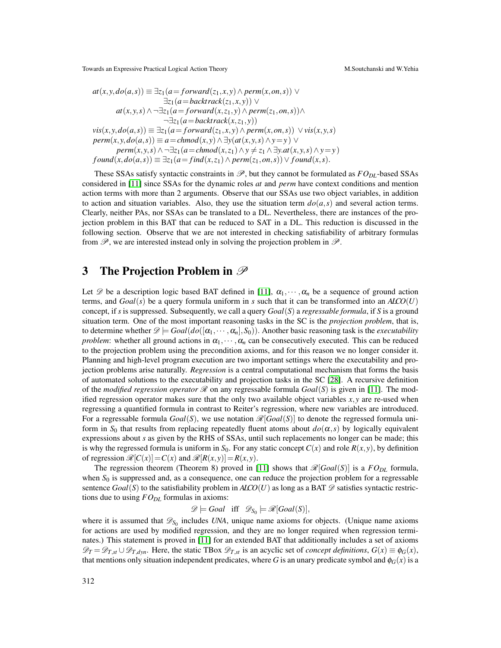$$
at(x,y,do(a,s)) \equiv \exists z_1(a = forward(z_1, x, y) \land perm(x, on, s)) \lor \exists z_1(a = backtrack(z_1, x, y)) \lor at(x, y, s) \land \neg \exists z_1(a = forward(x, z_1, y) \land perm(z_1, on, s)) \land \neg \exists z_1(a = backtrack(x, z_1, y)) vis(x, y, do(a, s)) \equiv \exists z_1(a = forward(z_1, x, y) \land perm(x, on, s)) \lor vis(x, y, s) perm(x, y, do(a, s)) \equiv a = chmod(x, y) \land \exists y(at(x, y, s) \land y = y) \lor perm(x, y, s) \land \neg \exists z_1(a = chmod(x, z_1) \land y \neq z_1 \land \exists y.at(x, y, s) \land y = y) found(x, do(a, s)) \equiv \exists z_1(a = find(x, z_1) \land perm(z_1, on, s)) \lor found(x, s).
$$

These SSAs satisfy syntactic constraints in  $\mathcal{P}$ , but they cannot be formulated as  $FO_{DL}$ -based SSAs considered in [\[11\]](#page-17-9) since SSAs for the dynamic roles *at* and *perm* have context conditions and mention action terms with more than 2 arguments. Observe that our SSAs use two object variables, in addition to action and situation variables. Also, they use the situation term  $do(a, s)$  and several action terms. Clearly, neither PAs, nor SSAs can be translated to a DL. Nevertheless, there are instances of the projection problem in this BAT that can be reduced to SAT in a DL. This reduction is discussed in the following section. Observe that we are not interested in checking satisfiability of arbitrary formulas from  $\mathscr P$ , we are interested instead only in solving the projection problem in  $\mathscr P$ .

### 3 The Projection Problem in  $\mathscr P$

Let  $\mathscr{D}$  be a description logic based BAT defined in [\[11\]](#page-17-9),  $\alpha_1, \dots, \alpha_n$  be a sequence of ground action terms, and *Goal*(*s*) be a query formula uniform in *s* such that it can be transformed into an *ALCO*(*U*) concept, if *s* is suppressed. Subsequently, we call a query *Goal*(*S*) a *regressable formula*, if *S* is a ground situation term. One of the most important reasoning tasks in the SC is the *projection problem*, that is, to determine whether  $\mathscr{D}$   $\models$   $Goal(do([α_1, …, α_n], S_0))$ . Another basic reasoning task is the *executability problem*: whether all ground actions in  $\alpha_1, \dots, \alpha_n$  can be consecutively executed. This can be reduced to the projection problem using the precondition axioms, and for this reason we no longer consider it. Planning and high-level program execution are two important settings where the executability and projection problems arise naturally. *Regression* is a central computational mechanism that forms the basis of automated solutions to the executability and projection tasks in the SC [\[28\]](#page-18-2). A recursive definition of the *modified regression operator*  $\mathcal{R}$  on any regressable formula  $Goal(S)$  is given in [\[11\]](#page-17-9). The modified regression operator makes sure that the only two available object variables  $x, y$  are re-used when regressing a quantified formula in contrast to Reiter's regression, where new variables are introduced. For a regressable formula  $Goal(S)$ , we use notation  $\mathcal{R}[Goal(S)]$  to denote the regressed formula uniform in  $S_0$  that results from replacing repeatedly fluent atoms about  $d\rho(\alpha, s)$  by logically equivalent expressions about *s* as given by the RHS of SSAs, until such replacements no longer can be made; this is why the regressed formula is uniform in  $S_0$ . For any static concept  $C(x)$  and role  $R(x, y)$ , by definition of regression  $\mathcal{R}[C(x)] = C(x)$  and  $\mathcal{R}[R(x,y)] = R(x,y)$ .

The regression theorem (Theorem 8) proved in [\[11\]](#page-17-9) shows that  $\mathcal{R}[Goal(S)]$  is a  $FO_{DL}$  formula, when  $S_0$  is suppressed and, as a consequence, one can reduce the projection problem for a regressable sentence  $Goal(S)$  to the satisfiability problem in  $AICO(U)$  as long as a BAT  $\mathscr D$  satisfies syntactic restrictions due to using *FODL* formulas in axioms:

 $\mathscr{D} \models$  *Goal* iff  $\mathscr{D}_{S_0} \models \mathscr{R}[Goal(S)],$ 

where it is assumed that  $\mathscr{D}_{S_0}$  includes *UNA*, unique name axioms for objects. (Unique name axioms for actions are used by modified regression, and they are no longer required when regression terminates.) This statement is proved in [\[11\]](#page-17-9) for an extended BAT that additionally includes a set of axioms  $\mathscr{D}_T = \mathscr{D}_{T,d} \cup \mathscr{D}_{T,dyn}$ . Here, the static TBox  $\mathscr{D}_{T,sf}$  is an acyclic set of *concept definitions*,  $G(x) \equiv \phi_G(x)$ , that mentions only situation independent predicates, where *G* is an unary predicate symbol and  $\phi$ <sub>*G*</sub>(*x*) is a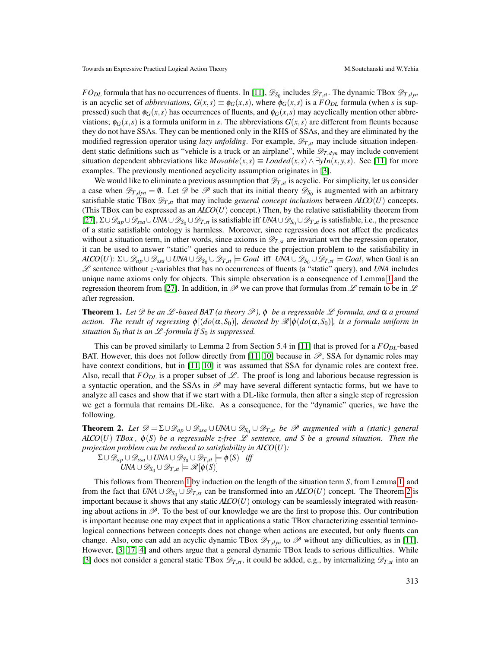*FO*<sub>*DL*</sub> formula that has no occurrences of fluents. In [\[11\]](#page-17-9),  $\mathscr{D}_{S_0}$  includes  $\mathscr{D}_{T,s}$ . The dynamic TBox  $\mathscr{D}_{T,dyn}$ is an acyclic set of *abbreviations*,  $G(x, s) \equiv \phi_G(x, s)$ , where  $\phi_G(x, s)$  is a  $FO_{DL}$  formula (when *s* is suppressed) such that  $\phi_G(x, s)$  has occurrences of fluents, and  $\phi_G(x, s)$  may acyclically mention other abbreviations;  $\phi_G(x, s)$  is a formula uniform in *s*. The abbreviations  $G(x, s)$  are different from fleunts because they do not have SSAs. They can be mentioned only in the RHS of SSAs, and they are eliminated by the modified regression operator using *lazy unfolding*. For example,  $\mathscr{D}_{T,s}$  may include situation independent static definitions such as "vehicle is a truck or an airplane", while  $\mathscr{D}_{T,dyn}$  may include convenient situation dependent abbreviations like  $Movable(x, s) \equiv Loaded(x, s) \land \exists yIn(x, y, s)$ . See [\[11\]](#page-17-9) for more examples. The previously mentioned acyclicity assumption originates in [\[3\]](#page-17-6).

We would like to eliminate a previous assumption that  $\mathscr{D}_{T,s}$  is acyclic. For simplicity, let us consider a case when  $\mathscr{D}_{T,dyn} = \emptyset$ . Let  $\mathscr{D}$  be  $\mathscr{P}$  such that its initial theory  $\mathscr{D}_{S_0}$  is augmented with an arbitrary satisfiable static TBox  $\mathscr{D}_{T,st}$  that may include *general concept inclusions* between  $AICO(U)$  concepts. (This TBox can be expressed as an  $AICO(U)$  concept.) Then, by the relative satisfiability theorem from [\[27\]](#page-18-5), Σ∪D*ap*∪D*ssa*∪*UNA*∪D*S*<sup>0</sup> ∪D*T*,*st* is satisfiable iff *UNA*∪D*S*<sup>0</sup> ∪D*T*,*st* is satisfiable, i.e., the presence of a static satisfiable ontology is harmless. Moreover, since regression does not affect the predicates without a situation term, in other words, since axioms in  $\mathcal{D}_{T,sf}$  are invariant wrt the regression operator, it can be used to answer "static" queries and to reduce the projection problem to the satisfiability in *ALCO*(*U*):  $\Sigma \cup \mathscr{D}_{ap} \cup \mathscr{D}_{ssa} \cup UNA \cup \mathscr{D}_{S_0} \cup \mathscr{D}_{T,st} \models Goal$  iff  $UNA \cup \mathscr{D}_{S_0} \cup \mathscr{D}_{T,st} \models Goal$ , when Goal is an L sentence without *z*-variables that has no occurrences of fluents (a "static" query), and *UNA* includes unique name axioms only for objects. This simple observation is a consequence of Lemma [1](#page-3-0) and the regression theorem from [\[27\]](#page-18-5). In addition, in  $\mathscr P$  we can prove that formulas from  $\mathscr L$  remain to be in  $\mathscr L$ after regression.

<span id="page-6-0"></span>**Theorem 1.** Let  $\mathscr D$  be an  $\mathscr L$ -based BAT (a theory  $\mathscr P$ ),  $\phi$  be a regressable  $\mathscr L$  formula, and  $\alpha$  a ground *action. The result of regressing*  $\phi[(d\phi(\alpha, S_0)],$  denoted by  $\mathcal{R}[\phi(d\phi(\alpha, S_0)],$  is a formula uniform in *situation*  $S_0$  *that is an*  $\mathcal{L}$ *-formula if*  $S_0$  *is suppressed.* 

This can be proved similarly to Lemma 2 from Section 5.4 in [\[11\]](#page-17-9) that is proved for a *FODL*-based BAT. However, this does not follow directly from [\[11,](#page-17-9) [10\]](#page-17-10) because in  $\mathscr{P}$ , SSA for dynamic roles may have context conditions, but in [\[11,](#page-17-9) [10\]](#page-17-10) it was assumed that SSA for dynamic roles are context free. Also, recall that  $FO_{DL}$  is a proper subset of  $\mathscr L$ . The proof is long and laborious because regression is a syntactic operation, and the SSAs in  $\mathscr P$  may have several different syntactic forms, but we have to analyze all cases and show that if we start with a DL-like formula, then after a single step of regression we get a formula that remains DL-like. As a consequence, for the "dynamic" queries, we have the following.

<span id="page-6-1"></span>**Theorem 2.** Let  $\mathscr{D} = \Sigma \cup \mathscr{D}_{ap} \cup \mathscr{D}_{ssa} \cup UNA \cup \mathscr{D}_{S_0} \cup \mathscr{D}_{T,st}$  *be*  $\mathscr{P}$  augmented with a (static) general  $AICO(U)$  *TBox,*  $\phi(S)$  *be a regressable z-free*  $L$  *sentence, and S be a ground situation. Then the projection problem can be reduced to satisfiability in ALCO*(*U*)*:*

 $\Sigma$ ∪ $\mathscr{D}_{ap}$ ∪ $\mathscr{D}_{ssa}$ ∪ $UN$ A∪ $\mathscr{D}_{S_0}$ ∪ $\mathscr{D}_{T,st}$  $\models \phi(S)$  *iff*  $UNA \cup \mathscr{D}_{S_0} \cup \mathscr{D}_{T,st} \models \mathscr{R}[\phi(S)]$ 

This follows from Theorem [1](#page-6-0) by induction on the length of the situation term *S*, from Lemma [1,](#page-3-0) and from the fact that  $UNA \cup \mathscr{D}_{S_0} \cup \mathscr{D}_{T,st}$  can be transformed into an  $AICO(U)$  concept. The Theorem [2](#page-6-1) is important because it shows that any static *ALCO*(*U*) ontology can be seamlessly integrated with reasoning about actions in  $\mathscr{P}$ . To the best of our knowledge we are the first to propose this. Our contribution is important because one may expect that in applications a static TBox characterizing essential terminological connections between concepts does not change when actions are executed, but only fluents can change. Also, one can add an acyclic dynamic TBox  $\mathscr{D}_{T,dyn}$  to  $\mathscr{P}$  without any difficulties, as in [\[11\]](#page-17-9). However, [\[3,](#page-17-6) [17,](#page-17-7) [4\]](#page-17-8) and others argue that a general dynamic TBox leads to serious difficulties. While [\[3\]](#page-17-6) does not consider a general static TBox  $\mathscr{D}_{T,st}$ , it could be added, e.g., by internalizing  $\mathscr{D}_{T,st}$  into an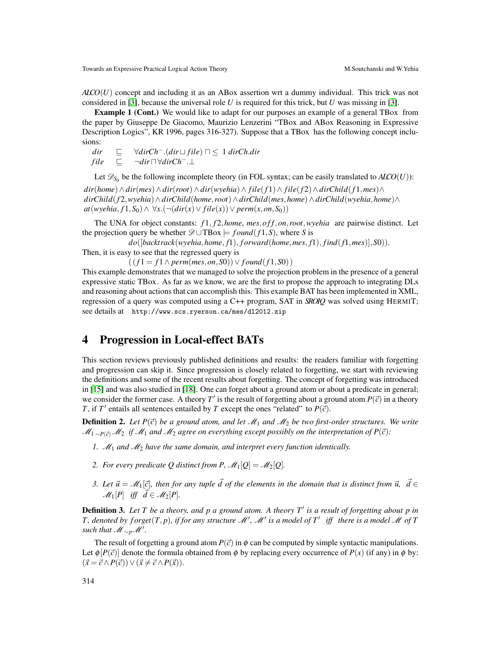*ALCO*(*U*) concept and including it as an ABox assertion wrt a dummy individual. This trick was not considered in [\[3\]](#page-17-6), because the universal role *U* is required for this trick, but *U* was missing in [\[3\]](#page-17-6).

Example 1 (Cont.) We would like to adapt for our purposes an example of a general TBox from the paper by Giuseppe De Giacomo, Maurizio Lenzerini "TBox and ABox Reasoning in Expressive Description Logics", KR 1996, pages 316-327). Suppose that a TBox has the following concept inclusions:

$$
dir \quad \sqsubseteq \quad \forall dirCh^-(dir \sqcup file) \sqcap \leq 1 \, dirCh.dir
$$
  

$$
file \quad \sqsubseteq \quad \neg dir \sqcap \forall dirCh^-. \perp
$$

Let  $\mathscr{D}_{S_0}$  be the following incomplete theory (in FOL syntax; can be easily translated to  $A\text{LCO}(U)$ ):

*dir*(*home*)∧*dir*(*mes*)∧*dir*(*root*)∧*dir*(*wyehia*)∧ *file*(*f* 1)∧ *file*(*f* 2)∧*dirChild*(*f* 1,*mes*)∧ *dirChild*(*f* 2,*wyehia*)∧*dirChild*(*home*,*root*)∧*dirChild*(*mes*,*home*)∧*dirChild*(*wyehia*,*home*)∧ *at*(*wyehia*,  $f1, S_0$ )∧  $\forall x. (¬(dir(x) ∨ file(x)) ∨ perm(x, on, S_0))$ 

The UNA for object constants: *f* 1, *f* 2,*home*, *mes*,*o f f*,*on*,*root*,*wyehia* are pairwise distinct. Let the projection query be whether  $\mathscr{D} \cup \text{TBox} = \text{found}(f1, S)$ , where *S* is

*do*([*backtrack*(*wyehia*,*home*, *f*1), *f orward*(*home*,*mes*, *f*1), *find*(*f*1,*mes*)],*S*0)). Then, it is easy to see that the regressed query is

 $((f1 = f1 \land perm(mes, on, S0)) \lor found(f1, S0))$ 

This example demonstrates that we managed to solve the projection problem in the presence of a general expressive static TBox. As far as we know, we are the first to propose the approach to integrating DLs and reasoning about actions that can accomplish this. This example BAT has been implemented in XML, regression of a query was computed using a C++ program, SAT in *SROIQ* was solved using HERMIT; see details at http://www.scs.ryerson.ca/mes/dl2012.zip

#### 4 Progression in Local-effect BATs

This section reviews previously published definitions and results: the readers familiar with forgetting and progression can skip it. Since progression is closely related to forgetting, we start with reviewing the definitions and some of the recent results about forgetting. The concept of forgetting was introduced in [\[15\]](#page-17-14) and was also studied in [\[18\]](#page-17-15). One can forget about a ground atom or about a predicate in general; we consider the former case. A theory  $T'$  is the result of forgetting about a ground atom  $P(\vec{c})$  in a theory *T*, if *T*<sup> $\prime$ </sup> entails all sentences entailed by *T* except the ones "related" to *P*( $\vec{c}$ ).

**Definition 2.** Let  $P(\vec{c})$  be a ground atom, and let  $\mathcal{M}_1$  and  $\mathcal{M}_2$  be two first-order structures. We write *M*<sub>1</sub> ∼*P*( $\bar{c}$ ) *M*<sub>2</sub> *if M*<sub>1</sub> *and M*<sub>2</sub> *agree on everything except possibly on the interpretation of P*( $\bar{c}$ ):

- *1.* M<sup>1</sup> *and* M<sup>2</sup> *have the same domain, and interpret every function identically.*
- *2. For every predicate Q distinct from P,*  $\mathcal{M}_1[Q] = \mathcal{M}_2[Q]$ *.*
- *3. Let*  $\vec{u} = M_1[\vec{c}]$ , then for any tuple  $\vec{d}$  of the elements in the domain that is distinct from  $\vec{u}$ ,  $\vec{d} \in$  $\mathcal{M}_1[P]$  *iff*  $\vec{d} \in \mathcal{M}_2[P]$ .

**Definition 3.** Let T be a theory, and p a ground atom. A theory T' is a result of forgetting about p in *T*, denoted by forget $(T, p)$ , if for any structure  $\mathcal{M}'$ ,  $\mathcal{M}'$  is a model of  $T'$  iff there is a model  $\mathcal M$  of T *such that*  $\mathcal{M}_{\sim p}\mathcal{M}'$ .

The result of forgetting a ground atom  $P(\vec{c})$  in  $\phi$  can be computed by simple syntactic manipulations. Let  $\phi$  [*P*( $\vec{c}$ )] denote the formula obtained from  $\phi$  by replacing every occurrence of *P*(*x*) (if any) in  $\phi$  by:  $(\vec{x} = \vec{c} \wedge P(\vec{c})) \vee (\vec{x} \neq \vec{c} \wedge P(\vec{x})).$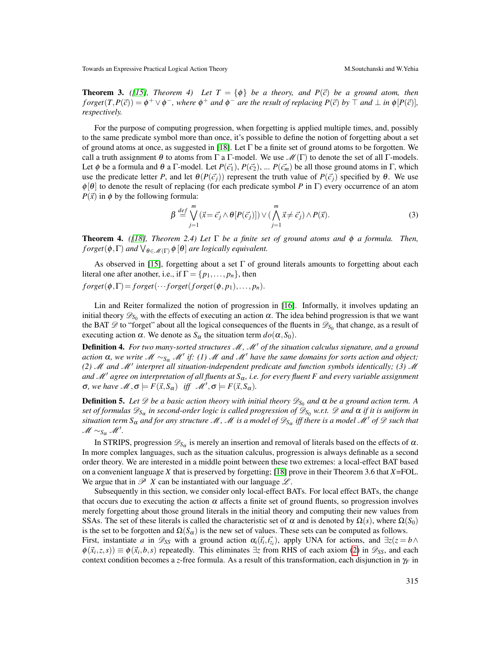<span id="page-8-1"></span>**Theorem 3.** ([\[15\]](#page-17-14), Theorem 4) Let  $T = \{\phi\}$  be a theory, and  $P(\vec{c})$  be a ground atom, then  $f \text{ or } g e t(T, P(\vec{c})) = \phi^+ \vee \phi^-$ , where  $\phi^+$  and  $\phi^-$  are the result of replacing  $P(\vec{c})$  by  $\top$  and  $\bot$  in  $\phi[P(\vec{c})]$ , *respectively.*

For the purpose of computing progression, when forgetting is applied multiple times, and, possibly to the same predicate symbol more than once, it's possible to define the notion of forgetting about a set of ground atoms at once, as suggested in [\[18\]](#page-17-15). Let Γ be a finite set of ground atoms to be forgotten. We call a truth assignment  $\theta$  to atoms from Γ a Γ-model. We use  $\mathcal{M}(\Gamma)$  to denote the set of all Γ-models. Let  $\phi$  be a formula and  $\theta$  a Γ-model. Let  $P(\vec{c_1}), P(\vec{c_2}), \dots P(\vec{c_m})$  be all those ground atoms in Γ, which use the predicate letter *P*, and let  $\theta(P(\vec{c}_i))$  represent the truth value of  $P(\vec{c}_i)$  specified by  $\theta$ . We use  $\phi[\theta]$  to denote the result of replacing (for each predicate symbol *P* in Γ) every occurrence of an atom  $P(\vec{x})$  in  $\phi$  by the following formula:

<span id="page-8-2"></span>
$$
\beta \stackrel{def}{=} \bigvee_{j=1}^{m} (\vec{x} = \vec{c}_j \wedge \theta[P(\vec{c}_j)]) \vee (\bigwedge_{j=1}^{m} \vec{x} \neq \vec{c}_j) \wedge P(\vec{x}). \tag{3}
$$

<span id="page-8-0"></span>Theorem 4. *([\[18\]](#page-17-15), Theorem 2.4) Let* Γ *be a finite set of ground atoms and* φ *a formula. Then,*  $\text{forget}(\phi, \Gamma)$  and  $\bigvee_{\theta \in \mathscr{M}(\Gamma)} \phi \left[\theta\right]$  are logically equivalent.

As observed in [\[15\]](#page-17-14), forgetting about a set  $\Gamma$  of ground literals amounts to forgetting about each literal one after another, i.e., if  $\Gamma = \{p_1, \ldots, p_n\}$ , then

 $f \text{ or } g e t(\phi, \Gamma) = f \text{ or } g e t(\cdots \text{ for } g e t(f \text{ or } g e t(\phi, p_1), \ldots, p_n).$ 

Lin and Reiter formalized the notion of progression in [\[16\]](#page-17-16). Informally, it involves updating an initial theory  $\mathscr{D}_{S_0}$  with the effects of executing an action  $\alpha$ . The idea behind progression is that we want the BAT  $\mathscr{D}$  to "forget" about all the logical consequences of the fluents in  $\mathscr{D}_{S_0}$  that change, as a result of executing action  $\alpha$ . We denote as  $S_{\alpha}$  the situation term  $do(\alpha, S_0)$ .

Definition 4. For two many-sorted structures M, M' of the situation calculus signature, and a ground *action*  $\alpha$ , we write  $\mathcal{M} \sim_{S_{\alpha}} \mathcal{M}'$  if: (1)  $\mathcal{M}$  and  $\mathcal{M}'$  have the same domains for sorts action and object; (2)  $\mathcal M$  and  $\mathcal M'$  interpret all situation-independent predicate and function symbols identically; (3)  $\mathcal M$ *and*  $M'$  agree on interpretation of all fluents at  $S_\alpha$ , i.e. for every fluent F and every variable assignment  $\sigma$ *, we have*  $\mathcal{M}, \sigma \models F(\vec{x}, S_{\alpha})$  *iff*  $\mathcal{M}', \sigma \models F(\vec{x}, S_{\alpha})$ *.* 

**Definition 5.** Let  $\mathscr D$  be a basic action theory with initial theory  $\mathscr D_{S_0}$  and  $\alpha$  be a ground action term. A *set of formulas* D*S*<sup>α</sup> *in second-order logic is called progression of* D*S*<sup>0</sup> *w.r.t.* D *and* α *if it is uniform in situation term S<sub>α</sub> and for any structure M, M is a model of*  $\mathscr{D}_{S_\alpha}$  *iff there is a model M' of D such that*  $M \sim_{S_\alpha} M'$ .

In STRIPS, progression  $\mathscr{D}_{S_\alpha}$  is merely an insertion and removal of literals based on the effects of  $\alpha$ . In more complex languages, such as the situation calculus, progression is always definable as a second order theory. We are interested in a middle point between these two extremes: a local-effect BAT based on a convenient language *X* that is preserved by forgetting; [\[18\]](#page-17-15) prove in their Theorem 3.6 that *X*=FOL. We argue that in  $\mathscr P X$  can be instantiated with our language  $\mathscr L$ .

Subsequently in this section, we consider only local-effect BATs. For local effect BATs, the change that occurs due to executing the action  $\alpha$  affects a finite set of ground fluents, so progression involves merely forgetting about those ground literals in the initial theory and computing their new values from SSAs. The set of these literals is called the characteristic set of  $\alpha$  and is denoted by  $\Omega(s)$ , where  $\Omega(S_0)$ is the set to be forgotten and  $\Omega(S_\alpha)$  is the new set of values. These sets can be computed as follows.

First, instantiate *a* in  $\mathscr{D}_{SS}$  with a ground action  $\alpha_i(\vec{t}_i, \vec{t}_{z_i})$ , apply UNA for actions, and  $\exists z(z = b \land \vec{z})$  $\phi(\vec{x}_i, z, s)$  =  $\phi(\vec{x}_i, b, s)$  repeatedly. This eliminates  $\exists z$  from RHS of each axiom [\(2\)](#page-3-1) in  $\mathscr{D}_{SS}$ , and each context condition becomes a *z*-free formula. As a result of this transformation, each disjunction in  $\gamma_F$  in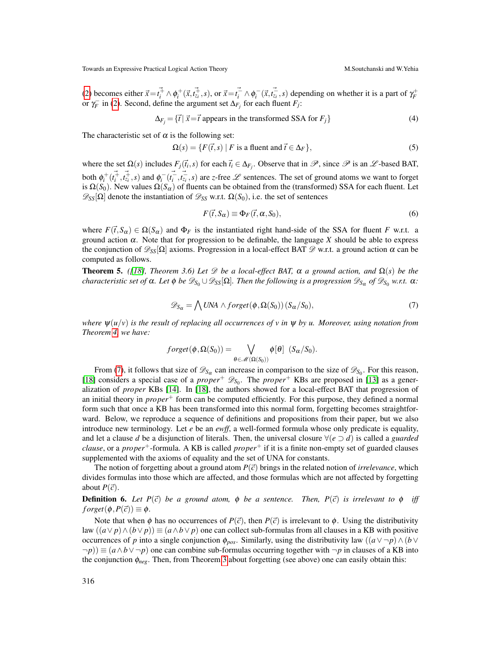[\(2\)](#page-3-1) becomes either  $\vec{x} = t_i^{\dagger} \wedge \phi_i^+ (\vec{x}, t_{z_i}^{\dagger}, s)$ , or  $\vec{x} = t_i^{\dagger} \wedge \phi_i^-(\vec{x}, t_{z_i}^{\dagger}, s)$  depending on whether it is a part of  $\gamma_F^+$  or  $\gamma_F^-$  in (2). Second, define the argument set  $\Delta_{F_j}$  for each fluent

$$
\Delta_{F_j} = \{ \vec{t} \mid \vec{x} = \vec{t} \text{ appears in the transformed SSA for } F_j \}
$$
\n
$$
\tag{4}
$$

The characteristic set of  $\alpha$  is the following set:

$$
\Omega(s) = \{ F(\vec{t}, s) \mid F \text{ is a fluent and } \vec{t} \in \Delta_F \},
$$
\n<sup>(5)</sup>

where the set  $\Omega(s)$  includes  $F_j(\vec{t}_i,s)$  for each  $\vec{t}_i \in \Delta_{F_j}$ . Observe that in  $\mathscr{P}$ , since  $\mathscr{P}$  is an  $\mathscr{L}$ -based BAT, both  $\phi_i^+(t_i^{\vec{+}}, t_{\vec{z}_i}^{\vec{+}}, s)$  and  $\phi_i^-(t_i^{\vec{-}}, t_{\vec{z}_i}^{\vec{-}}, s)$  are *z*-free  $\mathscr L$  sentences. The set of ground atoms we want to forget is  $\Omega(S_0)$ . New values  $\Omega(S_\alpha)$  of fluents can be obtained from the (transformed) SSA for each fluent. Let  $\mathscr{D}_{SS}[\Omega]$  denote the instantiation of  $\mathscr{D}_{SS}$  w.r.t.  $\Omega(S_0)$ , i.e. the set of sentences

<span id="page-9-1"></span>
$$
F(\vec{t}, S_{\alpha}) \equiv \Phi_F(\vec{t}, \alpha, S_0), \qquad (6)
$$

where  $F(\vec{r},S_\alpha) \in \Omega(S_\alpha)$  and  $\Phi_F$  is the instantiated right hand-side of the SSA for fluent *F* w.r.t. a ground action α. Note that for progression to be definable, the language *X* should be able to express the conjunction of  $\mathscr{D}_{SS}[\Omega]$  axioms. Progression in a local-effect BAT  $\mathscr{D}$  w.r.t. a ground action  $\alpha$  can be computed as follows.

**Theorem 5.** *([\[18\]](#page-17-15), Theorem 3.6)* Let  $\mathcal{D}$  be a local-effect BAT,  $\alpha$  a ground action, and  $\Omega(s)$  be the *characteristic set of*  $\alpha$ *. Let*  $\phi$  *be*  $\mathscr{D}_{S_0}\cup\mathscr{D}_{SS}[\Omega]$ *. Then the following is a progression*  $\mathscr{D}_{S_\alpha}$  *of*  $\mathscr{D}_{S_0}$  *w.r.t.*  $\alpha$ *:* 

<span id="page-9-0"></span>
$$
\mathscr{D}_{S_{\alpha}} = \bigwedge \text{UNA} \wedge \text{forget}(\phi, \Omega(S_0)) (S_{\alpha}/S_0), \tag{7}
$$

*where*  $\psi(u/v)$  *is the result of replacing all occurrences of v in*  $\psi$  *by u. Moreover, using notation from Theorem [4,](#page-8-0) we have:*

$$
forget(\phi, \Omega(S_0)) = \bigvee_{\theta \in \mathscr{M}(\Omega(S_0))} \phi[\theta] (S_{\alpha}/S_0).
$$

From [\(7\)](#page-9-0), it follows that size of  $\mathscr{D}_{S_\alpha}$  can increase in comparison to the size of  $\mathscr{D}_{S_0}$ . For this reason, [\[18\]](#page-17-15) considers a special case of a *proper*<sup>+</sup>  $\mathscr{D}_{S_0}$ . The *proper*<sup>+</sup> KBs are proposed in [\[13\]](#page-17-17) as a generalization of *proper* KBs [\[14\]](#page-17-18). In [\[18\]](#page-17-15), the authors showed for a local-effect BAT that progression of an initial theory in *proper*<sup>+</sup> form can be computed efficiently. For this purpose, they defined a normal form such that once a KB has been transformed into this normal form, forgetting becomes straightforward. Below, we reproduce a sequence of definitions and propositions from their paper, but we also introduce new terminology. Let *e* be an *ewff*, a well-formed formula whose only predicate is equality, and let a clause *d* be a disjunction of literals. Then, the universal closure  $\forall (e \supset d)$  is called a *guarded clause*, or a *proper*+-formula. A KB is called *proper*<sup>+</sup> if it is a finite non-empty set of guarded clauses supplemented with the axioms of equality and the set of UNA for constants.

The notion of forgetting about a ground atom  $P(\vec{c})$  brings in the related notion of *irrelevance*, which divides formulas into those which are affected, and those formulas which are not affected by forgetting about  $P(\vec{c})$ .

**Definition 6.** Let  $P(\vec{c})$  be a ground atom,  $\phi$  be a sentence. Then,  $P(\vec{c})$  is irrelevant to  $\phi$  iff  $f \text{ or } get(\phi, P(\vec{c})) \equiv \phi.$ 

Note that when  $\phi$  has no occurrences of  $P(\vec{c})$ , then  $P(\vec{c})$  is irrelevant to  $\phi$ . Using the distributivity law  $((a \lor p) \land (b \lor p)) \equiv (a \land b \lor p)$  one can collect sub-formulas from all clauses in a KB with positive occurrences of *p* into a single conjunction  $\phi_{pos}$ . Similarly, using the distributivity law  $((a \lor \neg p) \land (b \lor \neg p))$ ¬*p*)) ≡ (*a*∧*b*∨ ¬*p*) one can combine sub-formulas occurring together with ¬*p* in clauses of a KB into the conjunction φ*neg*. Then, from Theorem [3](#page-8-1) about forgetting (see above) one can easily obtain this: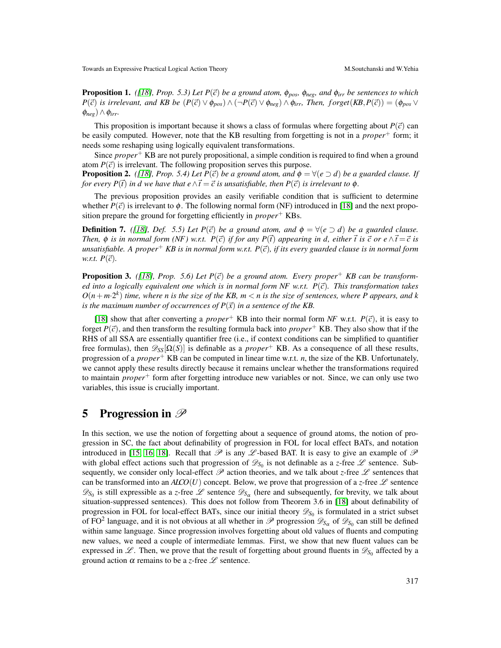<span id="page-10-0"></span>**Proposition 1.** *([\[18\]](#page-17-15), Prop.* 5.3*)* Let  $P(\vec{c})$  be a ground atom,  $\phi_{pos}$ ,  $\phi_{neg}$ , and  $\phi_{irr}$  be sentences to which  $P(\vec{c})$  *is irrelevant, and KB be*  $(P(\vec{c}) \vee \phi_{pos}) \wedge (\neg P(\vec{c}) \vee \phi_{neg}) \wedge \phi_{irr}$ *, Then, forget*(*KB,P*( $\vec{c}$ )) = ( $\phi_{pos} \vee$  $(\phi_{neg}) \wedge \phi_{irr}$ .

This proposition is important because it shows a class of formulas where forgetting about  $P(\vec{c})$  can be easily computed. However, note that the KB resulting from forgetting is not in a *proper*<sup>+</sup> form; it needs some reshaping using logically equivalent transformations.

Since *proper*<sup>+</sup> KB are not purely propositional, a simple condition is required to find when a ground atom  $P(\vec{c})$  is irrelevant. The following proposition serves this purpose.

**Proposition 2.** *([\[18\]](#page-17-15), Prop. 5.4) Let P*( $\vec{c}$ ) *be a ground atom, and*  $\phi = \forall (e \supset d)$  *be a guarded clause. If for every P*( $\vec{t}$ ) *in d we have that e*  $\wedge \vec{t} = \vec{c}$  *is unsatisfiable, then P*( $\vec{c}$ ) *is irrelevant to*  $\phi$ *.* 

The previous proposition provides an easily verifiable condition that is sufficient to determine whether  $P(\vec{c})$  is irrelevant to  $\phi$ . The following normal form (NF) introduced in [\[18\]](#page-17-15) and the next proposition prepare the ground for forgetting efficiently in *proper*<sup>+</sup> KBs.

**Definition 7.** *([\[18\]](#page-17-15), Def.* 5.5*)* Let  $P(\vec{c})$  be a ground atom, and  $\phi = \forall (e \supset d)$  be a guarded clause. *Then,*  $\phi$  *is in normal form (NF) w.r.t.*  $P(\vec{c})$  *if for any*  $P(\vec{t})$  *appearing in d, either*  $\vec{t}$  *is*  $\vec{c}$  *or*  $e \wedge \vec{t} = \vec{c}$  *is unsatisfiable.* A proper<sup>+</sup> *KB is in normal form w.r.t.*  $P(\vec{c})$ , *if its every guarded clause is in normal form w.r.t.*  $P(\vec{c})$ .

**Proposition 3.** ([\[18\]](#page-17-15), Prop. 5.6) Let  $P(\vec{c})$  be a ground atom. Every proper<sup>+</sup> KB can be transform*ed into a logically equivalent one which is in normal form NF w.r.t.*  $P(\vec{c})$ *. This transformation takes*  $O(n + m \cdot 2^k)$  *time, where n is the size of the KB, m*  $\lt$  *n is the size of sentences, where P appears, and k is the maximum number of occurrences of*  $P(\vec{x})$  *in a sentence of the KB.* 

[\[18\]](#page-17-15) show that after converting a *proper*<sup>+</sup> KB into their normal form *NF* w.r.t.  $P(\vec{c})$ , it is easy to forget  $P(\vec{c})$ , and then transform the resulting formula back into *proper*<sup>+</sup> KB. They also show that if the RHS of all SSA are essentially quantifier free (i.e., if context conditions can be simplified to quantifier free formulas), then  $\mathcal{D}_{SS}[\Omega(S)]$  is definable as a *proper*<sup>+</sup> KB. As a consequence of all these results, progression of a *proper*<sup>+</sup> KB can be computed in linear time w.r.t. *n*, the size of the KB. Unfortunately, we cannot apply these results directly because it remains unclear whether the transformations required to maintain *proper*<sup>+</sup> form after forgetting introduce new variables or not. Since, we can only use two variables, this issue is crucially important.

#### 5 Progression in  $\mathscr{P}$

In this section, we use the notion of forgetting about a sequence of ground atoms, the notion of progression in SC, the fact about definability of progression in FOL for local effect BATs, and notation introduced in [\[15,](#page-17-14) [16,](#page-17-16) [18\]](#page-17-15). Recall that  $\mathscr P$  is any  $\mathscr L$ -based BAT. It is easy to give an example of  $\mathscr P$ with global effect actions such that progression of  $\mathscr{D}_{S_0}$  is not definable as a *z*-free  $\mathscr L$  sentence. Subsequently, we consider only local-effect  $\mathscr P$  action theories, and we talk about *z*-free  $\mathscr L$  sentences that can be transformed into an  $AICO(U)$  concept. Below, we prove that progression of a *z*-free  $\mathscr L$  sentence  $\mathscr{D}_{S_0}$  is still expressible as a *z*-free  $\mathscr{L}$  sentence  $\mathscr{D}_{S_\alpha}$  (here and subsequently, for brevity, we talk about situation-suppressed sentences). This does not follow from Theorem 3.6 in [\[18\]](#page-17-15) about definability of progression in FOL for local-effect BATs, since our initial theory  $\mathscr{D}_{S_0}$  is formulated in a strict subset of FO<sup>2</sup> language, and it is not obvious at all whether in  $\mathscr P$  progression  $\mathscr D_{S_\alpha}$  of  $\mathscr D_{S_0}$  can still be defined within same language. Since progression involves forgetting about old values of fluents and computing new values, we need a couple of intermediate lemmas. First, we show that new fluent values can be expressed in  $L$ . Then, we prove that the result of forgetting about ground fluents in  $\mathscr{D}_{S_0}$  affected by a ground action  $\alpha$  remains to be a *z*-free  $\mathscr L$  sentence.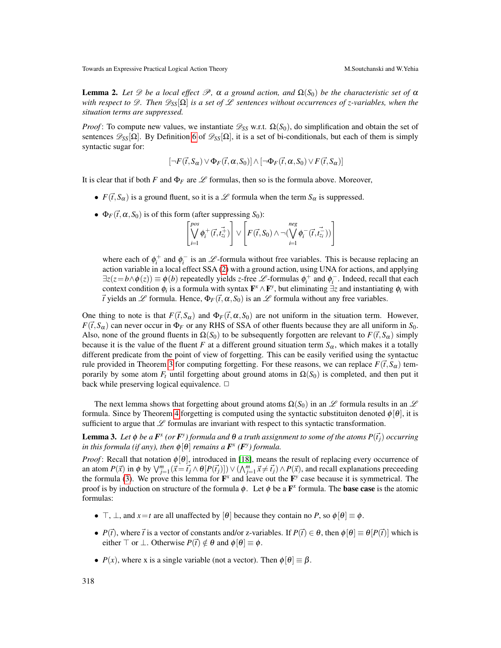<span id="page-11-0"></span>**Lemma 2.** Let  $\mathscr D$  be a local effect  $\mathscr P$ ,  $\alpha$  a ground action, and  $\Omega(S_0)$  be the characteristic set of  $\alpha$ *with respect to*  $\mathcal{D}$ *. Then*  $\mathcal{D}_{SS}[\Omega]$  *is a set of £ sentences without occurrences of z-variables, when the situation terms are suppressed.*

*Proof*: To compute new values, we instantiate  $\mathcal{D}_{SS}$  w.r.t.  $\Omega(S_0)$ , do simplification and obtain the set of sentences  $\mathscr{D}_{SS}[\Omega]$ . By Definition [6](#page-9-1) of  $\mathscr{D}_{SS}[\Omega]$ , it is a set of bi-conditionals, but each of them is simply syntactic sugar for:

$$
[\neg F(\vec{t},S_{\alpha}) \vee \Phi_{F}(\vec{t},\alpha,S_{0})] \wedge [\neg \Phi_{F}(\vec{t},\alpha,S_{0}) \vee F(\vec{t},S_{\alpha})]
$$

It is clear that if both *F* and  $\Phi_F$  are  $\mathscr L$  formulas, then so is the formula above. Moreover,

- $F(\vec{t}, S_{\alpha})$  is a ground fluent, so it is a  $\mathscr L$  formula when the term  $S_{\alpha}$  is suppressed.
- $\Phi_F(\vec{t}, \alpha, S_0)$  is of this form (after suppressing  $S_0$ ):

$$
\left[\bigvee_{i=1}^{pos} \phi_i^+(\vec{t}, t_{z_i}^{\vec{+}})\right] \vee \left[F(\vec{t}, S_0) \wedge \neg(\bigvee_{i=1}^{neg} \phi_i^-(\vec{t}, t_{z_i}^{\vec{-}}))\right]
$$

where each of  $\phi_i^+$  and  $\phi_i^-$  is an  $\mathscr{L}$ -formula without free variables. This is because replacing an action variable in a local effect SSA [\(2\)](#page-3-1) with a ground action, using UNA for actions, and applying  $\exists z(z=b \land \phi(z)) \equiv \phi(b)$  repeatedly yields *z*-free  $\mathscr{L}$ -formulas  $\phi_i^+$  and  $\phi_i^-$ . Indeed, recall that each context condition  $\phi_i$  is a formula with syntax  $\mathbf{F}^x \wedge \mathbf{F}^y$ , but eliminating  $\exists z$  and instantiating  $\phi_i$  with  $\vec{t}$  yields an  $\mathscr L$  formula. Hence,  $\Phi_F(\vec{t},\alpha,S_0)$  is an  $\mathscr L$  formula without any free variables.

One thing to note is that  $F(\vec{t},S_\alpha)$  and  $\Phi_F(\vec{t},\alpha,S_0)$  are not uniform in the situation term. However,  $F(\vec{t}, S_{\alpha})$  can never occur in  $\Phi_F$  or any RHS of SSA of other fluents because they are all uniform in *S*<sub>0</sub>. Also, none of the ground fluents in  $\Omega(S_0)$  to be subsequently forgotten are relevant to  $F(\vec{t}, S_\alpha)$  simply because it is the value of the fluent *F* at a different ground situation term  $S_\alpha$ , which makes it a totally different predicate from the point of view of forgetting. This can be easily verified using the syntactuc rule provided in Theorem [3](#page-8-1) for computing forgetting. For these reasons, we can replace  $F(\vec{t}, S_\alpha)$  temporarily by some atom  $F_t$  until forgetting about ground atoms in  $\Omega(S_0)$  is completed, and then put it back while preserving logical equivalence.  $\Box$ 

The next lemma shows that forgetting about ground atoms  $\Omega(S_0)$  in an L formula results in an L formula. Since by Theorem [4](#page-8-0) forgetting is computed using the syntactic substituiton denoted  $\phi[\theta]$ , it is sufficient to argue that  $\mathscr L$  formulas are invariant with respect to this syntactic transformation.

<span id="page-11-1"></span>Lemma 3. Let  $\phi$  be a  $F^x$  (or  $F^y$ ) formula and  $\theta$  a truth assignment to some of the atoms  $P(\vec{t}_j)$  occurring *in this formula (if any), then*  $\phi[\theta]$  *remains a*  $\mathbf{F}^{\text{x}}$  ( $\mathbf{F}^{\text{y}}$ ) *formula.* 

*Proof*: Recall that notation  $\phi[\theta]$ , introduced in [\[18\]](#page-17-15), means the result of replacing every occurrence of an atom  $P(\vec{x})$  in  $\phi$  by  $\bigvee_{j=1}^{m} (\vec{x} = \vec{t_j} \wedge \theta[P(\vec{t_j})]) \vee (\bigwedge_{j=1}^{m} \vec{x} \neq \vec{t_j}) \wedge P(\vec{x})$ , and recall explanations preceeding the formula [\(3\)](#page-8-2). We prove this lemma for  $\mathbf{F}^x$  and leave out the  $\mathbf{F}^y$  case because it is symmetrical. The proof is by induction on structure of the formula  $\phi$ . Let  $\phi$  be a  $\mathbf{F}^x$  formula. The **base case** is the atomic formulas:

- $\top$ ,  $\bot$ , and  $x = t$  are all unaffected by [ $\theta$ ] because they contain no *P*, so  $\phi[\theta] \equiv \phi$ .
- *P*( $\vec{t}$ ), where  $\vec{t}$  is a vector of constants and/or z-variables. If  $P(\vec{t}) \in \theta$ , then  $\phi[\theta] \equiv \theta[P(\vec{t})]$  which is either  $\top$  or  $\bot$ . Otherwise  $P(\vec{t}) \notin \theta$  and  $\phi[\theta] \equiv \phi$ .
- $P(x)$ , where x is a single variable (not a vector). Then  $\phi[\theta] \equiv \beta$ .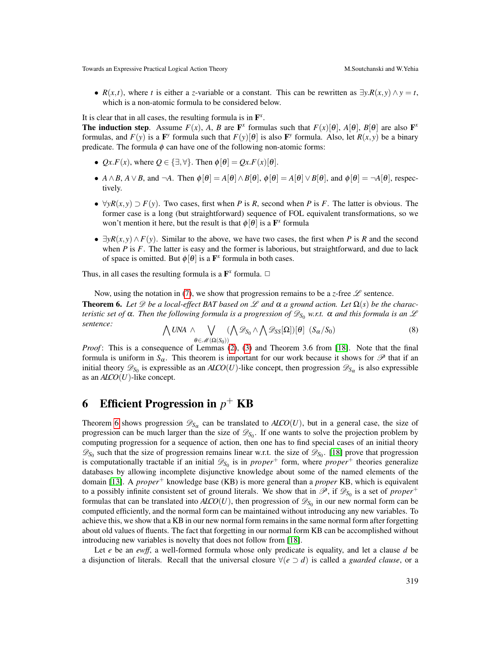•  $R(x,t)$ , where *t* is either a *z*-variable or a constant. This can be rewritten as  $\exists y.R(x,y) \land y = t$ , which is a non-atomic formula to be considered below.

It is clear that in all cases, the resulting formula is in  $\mathbf{F}^x$ .

**The induction step.** Assume  $F(x)$ , *A*, *B* are  $\mathbf{F}^x$  formulas such that  $F(x)[\theta]$ ,  $A[\theta]$ ,  $B[\theta]$  are also  $\mathbf{F}^x$ formulas, and  $F(y)$  is a  $\mathbf{F}^y$  formula such that  $F(y)[\theta]$  is also  $\mathbf{F}^y$  formula. Also, let  $R(x, y)$  be a binary predicate. The formula  $\phi$  can have one of the following non-atomic forms:

- $Qx.F(x)$ , where  $Q \in \{\exists, \forall\}$ . Then  $\phi[\theta] = Qx.F(x)[\theta]$ .
- *A*  $\wedge$  *B*, *A*  $\vee$  *B*, and  $\neg$ *A*. Then  $\phi[\theta] = A[\theta] \wedge B[\theta]$ ,  $\phi[\theta] = A[\theta] \vee B[\theta]$ , and  $\phi[\theta] = \neg A[\theta]$ , respectively.
- $\forall y R(x, y) \supset F(y)$ . Two cases, first when *P* is *R*, second when *P* is *F*. The latter is obvious. The former case is a long (but straightforward) sequence of FOL equivalent transformations, so we won't mention it here, but the result is that  $\phi[\theta]$  is a  $\mathbf{F}^x$  formula
- $\exists yR(x,y) \wedge F(y)$ . Similar to the above, we have two cases, the first when *P* is *R* and the second when *P* is *F*. The latter is easy and the former is laborious, but straightforward, and due to lack of space is omitted. But  $\phi[\theta]$  is a  $\mathbf{F}^x$  formula in both cases.

Thus, in all cases the resulting formula is a  $\mathbf{F}^x$  formula.  $\Box$ 

<span id="page-12-0"></span>Now, using the notation in [\(7\)](#page-9-0), we show that progression remains to be a *z*-free  $\mathscr L$  sentence. **Theorem 6.** Let  $\mathscr D$  be a local-effect BAT based on  $\mathscr L$  and  $\alpha$  a ground action. Let  $\Omega(s)$  be the charac*teristic set of*  $\alpha$ *. Then the following formula is a progression of*  $\mathscr{D}_{S_0}$  *w.r.t.*  $\alpha$  *and this formula is an*  $\mathscr L$ *sentence:* ^

$$
\bigvee UNA \wedge \bigvee_{\theta \in \mathscr{M}(\Omega(S_0))} (\bigwedge \mathscr{D}_{S_0} \wedge \bigwedge \mathscr{D}_{SS}[\Omega])[\theta] \ (S_\alpha/S_0) \tag{8}
$$

*Proof*: This is a consequence of Lemmas [\(2\)](#page-11-0), [\(3\)](#page-11-1) and Theorem 3.6 from [\[18\]](#page-17-15). Note that the final formula is uniform in  $S_\alpha$ . This theorem is important for our work because it shows for  $\mathscr P$  that if an initial theory  $\mathscr{D}_{S_0}$  is expressible as an *ALCO*(*U*)-like concept, then progression  $\mathscr{D}_{S_\alpha}$  is also expressible as an *ALCO*(*U*)-like concept.

# 6 Efficient Progression in *p* <sup>+</sup> KB

Theorem [6](#page-12-0) shows progression  $\mathscr{D}_{S_\alpha}$  can be translated to  $ALO(U)$ , but in a general case, the size of progression can be much larger than the size of  $\mathscr{D}_{S_0}$ . If one wants to solve the projection problem by computing progression for a sequence of action, then one has to find special cases of an initial theory  $\mathscr{D}_{S_0}$  such that the size of progression remains linear w.r.t. the size of  $\mathscr{D}_{S_0}$ . [\[18\]](#page-17-15) prove that progression is computationally tractable if an initial  $\mathscr{D}_{S_0}$  is in *proper*<sup>+</sup> form, where *proper*<sup>+</sup> theories generalize databases by allowing incomplete disjunctive knowledge about some of the named elements of the domain [\[13\]](#page-17-17). A *proper*<sup>+</sup> knowledge base (KB) is more general than a *proper* KB, which is equivalent to a possibly infinite consistent set of ground literals. We show that in  $\mathscr{P}$ , if  $\mathscr{D}_{S_0}$  is a set of *proper*<sup>+</sup> formulas that can be translated into  $A\text{LCO}(U)$ , then progression of  $\mathscr{D}_{S_0}$  in our new normal form can be computed efficiently, and the normal form can be maintained without introducing any new variables. To achieve this, we show that a KB in our new normal form remains in the same normal form after forgetting about old values of fluents. The fact that forgetting in our normal form KB can be accomplished without introducing new variables is novelty that does not follow from [\[18\]](#page-17-15).

Let *e* be an *ewff*, a well-formed formula whose only predicate is equality, and let a clause *d* be a disjunction of literals. Recall that the universal closure  $\forall (e \supset d)$  is called a *guarded clause*, or a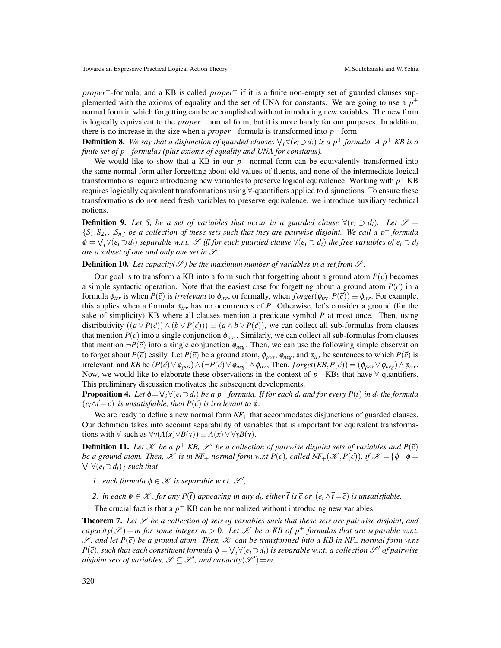*proper*<sup>+</sup>-formula, and a KB is called *proper*<sup>+</sup> if it is a finite non-empty set of guarded clauses supplemented with the axioms of equality and the set of UNA for constants. We are going to use a  $p^+$ normal form in which forgetting can be accomplished without introducing new variables. The new form is logically equivalent to the *proper*<sup>+</sup> normal form, but it is more handy for our purposes. In addition, there is no increase in the size when a  $proper<sup>+</sup>$  formula is transformed into  $p<sup>+</sup>$  form.

**Definition 8.** We say that a disjunction of guarded clauses  $\bigvee_i \forall (e_i \supset d_i)$  is a  $p^+$  formula. A  $p^+$  KB is a *finite set of p*<sup>+</sup> *formulas (plus axioms of equality and UNA for constants).*

We would like to show that a KB in our  $p^+$  normal form can be equivalently transformed into the same normal form after forgetting about old values of fluents, and none of the intermediate logical transformations require introducing new variables to preserve logical equivalence. Working with  $p^+$  KB requires logically equivalent transformations using ∀-quantifiers applied to disjunctions. To ensure these transformations do not need fresh variables to preserve equivalence, we introduce auxiliary technical notions.

**Definition 9.** Let S<sub>i</sub> be a set of variables that occur in a guarded clause  $\forall (e_i \supset d_i)$ . Let  $\mathcal{S} =$  ${S_1, S_2, \ldots, S_n}$  *be a collection of these sets such that they are pairwise disjoint. We call a p<sup>+</sup> <i>formula*  $\phi = \bigvee_i \forall (e_i \supset d_i)$  separable w.r.t.  $\mathscr{S}$  iff for each guarded clause  $\forall (e_i \supset d_i)$  the free variables of  $e_i \supset d_i$ *are a subset of one and only one set in*  $\mathcal{S}$ *.* 

#### **Definition 10.** Let capacity( $\mathcal{S}$ ) be the maximum number of variables in a set from  $\mathcal{S}$ .

Our goal is to transform a KB into a form such that forgetting about a ground atom  $P(\vec{c})$  becomes a simple syntactic operation. Note that the easiest case for forgetting about a ground atom  $P(\vec{c})$  in a formula  $\phi_{irr}$  is when  $P(\vec{c})$  is *irrelevant* to  $\phi_{irr}$ , or formally, when  $forget(\phi_{irr}, P(\vec{c})) \equiv \phi_{irr}$ . For example, this applies when a formula  $\phi_{irr}$  has no occurrences of *P*. Otherwise, let's consider a ground (for the sake of simplicity) KB where all clauses mention a predicate symbol *P* at most once. Then, using distributivity  $((a \vee P(\vec{c})) \wedge (b \vee P(\vec{c}))) \equiv (a \wedge b \vee P(\vec{c}))$ , we can collect all sub-formulas from clauses that mention  $P(\vec{c})$  into a single conjunction  $\phi_{pos}$ . Similarly, we can collect all sub-formulas from clauses that mention  $\neg P(\vec{c})$  into a single conjunction  $\phi_{neg}$ . Then, we can use the following simple observation to forget about  $P(\vec{c})$  easily. Let  $P(\vec{c})$  be a ground atom,  $\phi_{pos}$ ,  $\phi_{neg}$ , and  $\phi_{irr}$  be sentences to which  $P(\vec{c})$  is  $\text{irrelevant, and } KB$  be  $(P(\vec{c}) \vee \phi_{pos}) \wedge (\neg P(\vec{c}) \vee \phi_{neg}) \wedge \phi_{irr}$ , Then,  $forget(KB, P(\vec{c})) = (\phi_{pos} \vee \phi_{neg}) \wedge \phi_{irr}$ . Now, we would like to elaborate these observations in the context of  $p^+$  KBs that have  $\forall$ -quantifiers. This preliminary discussion motivates the subsequent developments.

**Proposition 4.** Let  $\phi = \bigvee_i \forall (e_i \supset d_i)$  be a  $p^+$  formula. If for each  $d_i$  and for every  $P(\vec{t})$  in  $d_i$  the formula  $(e_i \wedge \vec{t} = \vec{c})$  *is unsatisfiable, then*  $P(\vec{c})$  *is irrelevant to*  $\phi$ *.* 

We are ready to define a new normal form  $NF_+$  that accommodates disjunctions of guarded clauses. Our definition takes into account separability of variables that is important for equivalent transformations with  $\forall$  such as  $\forall y(A(x) \lor B(y)) \equiv A(x) \lor \forall yB(y)$ .

**Definition 11.** Let  $\mathcal{K}$  be a  $p^+$  KB,  $\mathcal{S}'$  be a collection of pairwise disjoint sets of variables and  $P(\vec{c})$ *be a ground atom. Then,*  $\mathscr K$  *is in NF*+ *normal form w.r.t P(* $\vec c$ *), called NF*+ $(\mathscr K, P(\vec c))$ *, if*  $\mathscr K = {\phi \mid \phi =$  $\forall$ <sub>*i*</sub> ∀( $e$ <sub>*i*</sub> ⊃  $d$ *i*)} *such that* 

- *1.* each formula  $\phi \in \mathcal{K}$  is separable w.r.t.  $\mathcal{S}'$ ,
- *2.* in each  $\phi \in \mathcal{K}$ , for any  $P(\vec{t})$  appearing in any  $d_i$ , either  $\vec{t}$  is  $\vec{c}$  or  $(e_i \wedge \vec{t} = \vec{c})$  is unsatisfiable.

The crucial fact is that a  $p^{+}$  KB can be normalized without introducing new variables.

<span id="page-13-0"></span>**Theorem 7.** Let  $\mathscr S$  be a collection of sets of variables such that these sets are pairwise disjoint, and *capacity*( $\mathscr{S}$ ) = *m* for some integer *m* > 0*.* Let  $\mathscr{K}$  be a KB of  $p^+$  formulas that are separable w.r.t.  $\mathscr{S}$ , and let  $P(\vec{c})$  be a ground atom. Then,  $\mathscr{K}$  can be transformed into a KB in NF<sub>+</sub> normal form w.r.t  $P(\vec{c})$ , such that each constituent formula  $\phi = \bigvee_i \forall (e_i \supset d_i)$  is separable w.r.t. a collection  $\mathscr{S}'$  of pairwise *disjoint sets of variables,*  $\mathscr{S} \subseteq \mathscr{S}$ , and capacity $(\mathscr{S}') = m$ .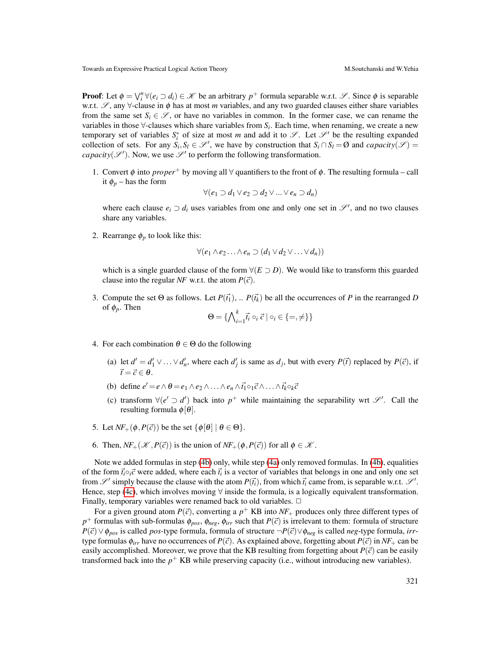**Proof**: Let  $\phi = \bigvee_i^n \forall (e_i \supset d_i) \in \mathcal{K}$  be an arbitrary  $p^+$  formula separable w.r.t.  $\mathcal{S}$ . Since  $\phi$  is separable w.r.t.  $\mathscr{S}$ , any  $\forall$ -clause in  $\phi$  has at most *m* variables, and any two guarded clauses either share variables from the same set  $S_i \in \mathscr{S}$ , or have no variables in common. In the former case, we can rename the variables in those  $\forall$ -clauses which share variables from  $S_i$ . Each time, when renaming, we create a new temporary set of variables  $S_i^*$  of size at most *m* and add it to  $\mathscr{S}$ . Let  $\mathscr{S}'$  be the resulting expanded collection of sets. For any  $S_i$ ,  $S_l \in \mathcal{S}'$ , we have by construction that  $S_i \cap S_l = \emptyset$  and *capacity*( $\mathcal{S}'$ ) = *capacity*( $\mathscr{S}'$ ). Now, we use  $\mathscr{S}'$  to perform the following transformation.

1. Convert  $\phi$  into *proper*<sup>+</sup> by moving all  $\forall$  quantifiers to the front of  $\phi$ . The resulting formula – call it  $\phi_p$  – has the form

$$
\forall (e_1 \supset d_1 \vee e_2 \supset d_2 \vee \dots \vee e_n \supset d_n)
$$

where each clause  $e_i \supset d_i$  uses variables from one and only one set in  $\mathscr{S}'$ , and no two clauses share any variables.

2. Rearrange  $\phi_p$  to look like this:

$$
\forall (e_1 \wedge e_2 \ldots \wedge e_n \supset (d_1 \vee d_2 \vee \ldots \vee d_n))
$$

which is a single guarded clause of the form  $\forall (E \supset D)$ . We would like to transform this guarded clause into the regular *NF* w.r.t. the atom  $P(\vec{c})$ .

3. Compute the set  $\Theta$  as follows. Let  $P(\vec{t}_1), \ldots, P(\vec{t}_k)$  be all the occurrences of P in the rearranged D of  $\phi_p$ . Then

$$
\Theta = \{ \bigwedge\nolimits_{i=1}^k \vec{t}_i \circ_i \vec{c} \mid \circ_i \in \{ =, \neq \} \}
$$

- <span id="page-14-1"></span><span id="page-14-0"></span>4. For each combination  $\theta \in \Theta$  do the following
	- (a) let  $d' = d'_1 \vee \ldots \vee d'_n$ , where each  $d'_j$  is same as  $d_j$ , but with every  $P(\vec{t})$  replaced by  $P(\vec{c})$ , if  $\vec{t} = \vec{c} \in \theta$ .
	- (b) define  $e' = e \wedge \theta = e_1 \wedge e_2 \wedge \ldots \wedge e_n \wedge \vec{t_1} \circ_1 \vec{c} \wedge \ldots \wedge \vec{t_k} \circ_k \vec{c}$
	- (c) transform  $\forall (e' \supset d')$  back into  $p^+$  while maintaining the separability wrt  $\mathscr{S}'$ . Call the resulting formula  $\phi[\theta]$ .
- <span id="page-14-2"></span>5. Let  $NF_+(\phi, P(\vec{c}))$  be the set  $\{\phi[\theta] \mid \theta \in \Theta\}.$
- 6. Then,  $NF_+(\mathcal{K}, P(\vec{c}))$  is the union of  $NF_+(\phi, P(\vec{c}))$  for all  $\phi \in \mathcal{K}$ .

Note we added formulas in step [\(4b\)](#page-14-0) only, while step [\(4a\)](#page-14-1) only removed formulas. In [\(4b\)](#page-14-0), equalities of the form  $\vec{t}_i \circ_i \vec{c}$  were added, where each  $\vec{t}_i$  is a vector of variables that belongs in one and only one set from  $\mathscr{S}'$  simply because the clause with the atom  $P(\vec{t}_i)$ , from which  $\vec{t}_i$  came from, is separable w.r.t.  $\mathscr{S}'$ . Hence, step [\(4c\)](#page-14-2), which involves moving  $\forall$  inside the formula, is a logically equivalent transformation. Finally, temporary variables were renamed back to old variables.  $\Box$ 

For a given ground atom  $P(\vec{c})$ , converting a  $p^+$  KB into  $N_{+}$  produces only three different types of *p*<sup>+</sup> formulas with sub-formulas  $\phi_{pos}$ ,  $\phi_{neg}$ ,  $\phi_{irr}$  such that  $P(\vec{c})$  is irrelevant to them: formula of structure *P*(~*c*)∨φ*pos* is called *pos*-type formula, formula of structure ¬*P*(~*c*)∨φ*neg* is called *neg*-type formula, *irr*type formulas  $\phi_{irr}$  have no occurrences of  $P(\vec{c})$ . As explained above, forgetting about  $P(\vec{c})$  in  $NF_+$  can be easily accomplished. Moreover, we prove that the KB resulting from forgetting about  $P(\vec{c})$  can be easily transformed back into the  $p^+$  KB while preserving capacity (i.e., without introducing new variables).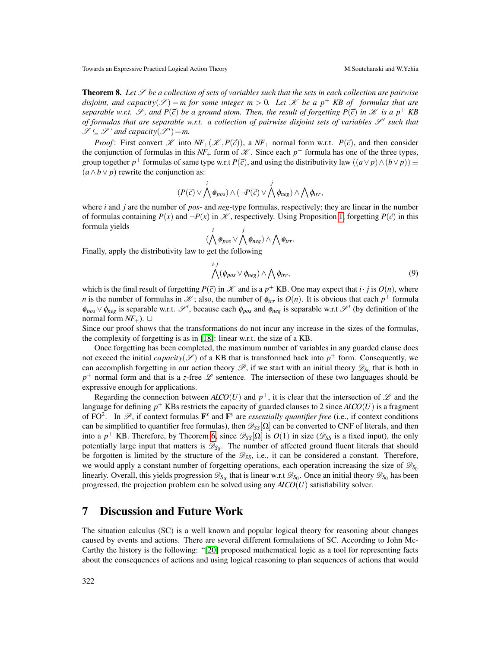<span id="page-15-0"></span>**Theorem 8.** Let  $\mathscr S$  be a collection of sets of variables such that the sets in each collection are pairwise *disjoint, and capacity*( $\mathcal{S}$ ) = *m* for some integer  $m > 0$ . Let  $\mathcal{K}$  be a  $p^+$  KB of formulas that are *separable w.r.t.*  $\mathscr{S}$ , and  $P(\vec{c})$  *be a ground atom. Then, the result of forgetting*  $P(\vec{c})$  *in*  $\mathscr{K}$  *is a p*<sup>+</sup>  $KB$ of formulas that are separable w.r.t. a collection of pairwise disjoint sets of variables  $\mathscr{S}^{\prime}$  such that  $\mathscr{S} \subseteq \mathscr{S}$ ' and capacity $(\mathscr{S}') = m$ .

*Proof*: First convert  $K$  into  $NF_+(\mathcal{K}, P(\vec{c}))$ , a  $NF_+$  normal form w.r.t.  $P(\vec{c})$ , and then consider the conjunction of formulas in this  $NF_+$  form of  $\mathcal K$ . Since each  $p^+$  formula has one of the three types, group together  $p^+$  formulas of same type w.r.t  $P(\vec{c})$ , and using the distributivity law  $((a \lor p) \land (b \lor p)) \equiv$  $(a \wedge b \vee p)$  rewrite the conjunction as:

$$
(P(\vec{c}) \vee \bigwedge^i \phi_{pos}) \wedge (\neg P(\vec{c}) \vee \bigwedge^j \phi_{neg}) \wedge \bigwedge^i \phi_{irr},
$$

where *i* and *j* are the number of *pos*- and *neg*-type formulas, respectively; they are linear in the number of formulas containing  $P(x)$  and  $\neg P(x)$  in  $\mathcal{K}$ , respectively. Using Proposition [1,](#page-10-0) forgetting  $P(\vec{c})$  in this formula yields

$$
(\bigwedge^i \phi_{pos} \vee \bigwedge^j \phi_{neg}) \wedge \bigwedge \phi_{irr}.
$$

Finally, apply the distributivity law to get the following

$$
\bigwedge^{i \cdot j} (\phi_{pos} \vee \phi_{neg}) \wedge \bigwedge \phi_{irr},\tag{9}
$$

which is the final result of forgetting  $P(\vec{c})$  in  $\mathcal X$  and is a  $p^+$  KB. One may expect that  $i \cdot j$  is  $O(n)$ , where *n* is the number of formulas in  $\mathcal{K}$ ; also, the number of  $\phi_{irr}$  is  $O(n)$ . It is obvious that each  $p^+$  formula  $\phi_{pos} \vee \phi_{neg}$  is separable w.r.t. S', because each  $\phi_{pos}$  and  $\phi_{neg}$  is separable w.r.t S' (by definition of the normal form  $NF_{+}$ ).  $\Box$ 

Since our proof shows that the transformations do not incur any increase in the sizes of the formulas, the complexity of forgetting is as in [\[18\]](#page-17-15): linear w.r.t. the size of a KB.

Once forgetting has been completed, the maximum number of variables in any guarded clause does not exceed the initial *capacity*( $\mathscr{S}$ ) of a KB that is transformed back into  $p^+$  form. Consequently, we can accomplish forgetting in our action theory  $\mathscr{P}$ , if we start with an initial theory  $\mathscr{D}_{S_0}$  that is both in  $p^+$  normal form and that is a *z*-free  $\mathscr L$  sentence. The intersection of these two languages should be expressive enough for applications.

Regarding the connection between  $A\text{LCO}(U)$  and  $p^+$ , it is clear that the intersection of  $\mathscr L$  and the language for defining *p* <sup>+</sup> KBs restricts the capacity of guarded clauses to 2 since *ALCO*(*U*) is a fragment of FO<sup>2</sup>. In  $\mathscr{P}$ , if context formulas  $\mathbf{F}^{\chi}$  and  $\mathbf{F}^{\gamma}$  are *essentially quantifier free* (i.e., if context conditions can be simplified to quantifier free formulas), then  $\mathcal{D}_{SS}[\Omega]$  can be converted to CNF of literals, and then into a  $p^+$  KB. Therefore, by Theorem [6,](#page-12-0) since  $\mathscr{D}_{SS}[\Omega]$  is  $O(1)$  in size ( $\mathscr{D}_{SS}$  is a fixed input), the only potentially large input that matters is  $\mathscr{D}_{S_0}$ . The number of affected ground fluent literals that should be forgotten is limited by the structure of the  $\mathcal{D}_{SS}$ , i.e., it can be considered a constant. Therefore, we would apply a constant number of forgetting operations, each operation increasing the size of  $\mathscr{D}_{S_0}$ linearly. Overall, this yields progression  $\mathscr{D}_{S_\alpha}$  that is linear w.r.t  $\mathscr{D}_{S_0}$ . Once an initial theory  $\mathscr{D}_{S_0}$  has been progressed, the projection problem can be solved using any *ALCO*(*U*) satisfiability solver.

#### 7 Discussion and Future Work

The situation calculus (SC) is a well known and popular logical theory for reasoning about changes caused by events and actions. There are several different formulations of SC. According to John Mc-Carthy the history is the following: "[\[20\]](#page-17-19) proposed mathematical logic as a tool for representing facts about the consequences of actions and using logical reasoning to plan sequences of actions that would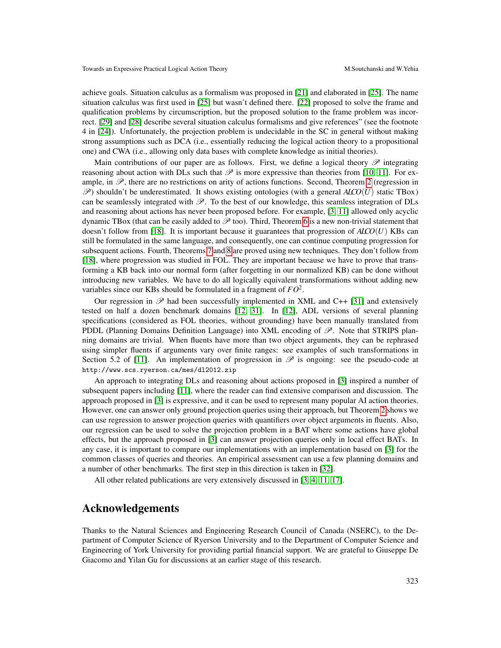achieve goals. Situation calculus as a formalism was proposed in [\[21\]](#page-17-20) and elaborated in [\[25\]](#page-18-6). The name situation calculus was first used in [\[25\]](#page-18-6) but wasn't defined there. [\[22\]](#page-17-21) proposed to solve the frame and qualification problems by circumscription, but the proposed solution to the frame problem was incorrect. [\[29\]](#page-18-7) and [\[28\]](#page-18-2) describe several situation calculus formalisms and give references" (see the footnote 4 in [\[24\]](#page-18-8)). Unfortunately, the projection problem is undecidable in the SC in general without making strong assumptions such as DCA (i.e., essentially reducing the logical action theory to a propositional one) and CWA (i.e., allowing only data bases with complete knowledge as initial theories).

Main contributions of our paper are as follows. First, we define a logical theory  $\mathscr P$  integrating reasoning about action with DLs such that  $\mathscr P$  is more expressive than theories from [\[10,](#page-17-10) [11\]](#page-17-9). For example, in  $\mathscr{P}$ , there are no restrictions on arity of actions functions. Second, Theorem [2](#page-6-1) (regression in  $\mathscr{P}$ ) shouldn't be underestimated. It shows existing ontologies (with a general *ALCO*(*U*) static TBox) can be seamlessly integrated with  $\mathcal{P}$ . To the best of our knowledge, this seamless integration of DLs and reasoning about actions has never been proposed before. For example, [\[3,](#page-17-6) [11\]](#page-17-9) allowed only acyclic dynamic TBox (that can be easily added to  $\mathscr P$  too). Third, Theorem [6](#page-12-0) is a new non-trivial statement that doesn't follow from [\[18\]](#page-17-15). It is important because it guarantees that progression of *ALCO*(*U*) KBs can still be formulated in the same language, and consequently, one can continue computing progression for subsequent actions. Fourth, Theorems [7](#page-13-0) and [8](#page-15-0) are proved using new techniques. They don't follow from [\[18\]](#page-17-15), where progression was studied in FOL. They are important because we have to prove that transforming a KB back into our normal form (after forgetting in our normalized KB) can be done without introducing new variables. We have to do all logically equivalent transformations without adding new variables since our KBs should be formulated in a fragment of *FO*<sup>2</sup> .

Our regression in  $\mathscr P$  had been successfully implemented in XML and C++ [\[31\]](#page-18-4) and extensively tested on half a dozen benchmark domains [\[12,](#page-17-11) [31\]](#page-18-4). In [\[12\]](#page-17-11), ADL versions of several planning specifications (considered as FOL theories, without grounding) have been manually translated from PDDL (Planning Domains Definition Language) into XML encoding of  $\mathscr{P}$ . Note that STRIPS planning domains are trivial. When fluents have more than two object arguments, they can be rephrased using simpler fluents if arguments vary over finite ranges: see examples of such transformations in Section 5.2 of [\[11\]](#page-17-9). An implementation of progression in  $\mathscr P$  is ongoing: see the pseudo-code at http://www.scs.ryerson.ca/mes/dl2012.zip

An approach to integrating DLs and reasoning about actions proposed in [\[3\]](#page-17-6) inspired a number of subsequent papers including [\[11\]](#page-17-9), where the reader can find extensive comparison and discussion. The approach proposed in [\[3\]](#page-17-6) is expressive, and it can be used to represent many popular AI action theories. However, one can answer only ground projection queries using their approach, but Theorem [2](#page-6-1) shows we can use regression to answer projection queries with quantifiers over object arguments in fluents. Also, our regression can be used to solve the projection problem in a BAT where some actions have global effects, but the approach proposed in [\[3\]](#page-17-6) can answer projection queries only in local effect BATs. In any case, it is important to compare our implementations with an implementation based on [\[3\]](#page-17-6) for the common classes of queries and theories. An empirical assessment can use a few planning domains and a number of other benchmarks. The first step in this direction is taken in [\[32\]](#page-18-9).

All other related publications are very extensively discussed in [\[3,](#page-17-6) [4,](#page-17-8) [11,](#page-17-9) [17\]](#page-17-7).

### Acknowledgements

Thanks to the Natural Sciences and Engineering Research Council of Canada (NSERC), to the Department of Computer Science of Ryerson University and to the Department of Computer Science and Engineering of York University for providing partial financial support. We are grateful to Giuseppe De Giacomo and Yilan Gu for discussions at an earlier stage of this research.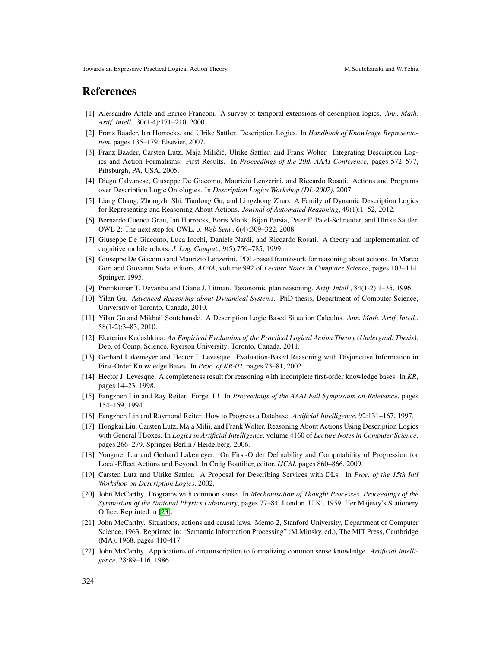#### References

- <span id="page-17-3"></span>[1] Alessandro Artale and Enrico Franconi. A survey of temporal extensions of description logics. *Ann. Math. Artif. Intell.*, 30(1-4):171–210, 2000.
- <span id="page-17-13"></span>[2] Franz Baader, Ian Horrocks, and Ulrike Sattler. Description Logics. In *Handbook of Knowledge Representation*, pages 135–179. Elsevier, 2007.
- <span id="page-17-6"></span>[3] Franz Baader, Carsten Lutz, Maja Miliĉić, Ulrike Sattler, and Frank Wolter. Integrating Description Logics and Action Formalisms: First Results. In *Proceedings of the 20th AAAI Conference*, pages 572–577, Pittsburgh, PA, USA, 2005.
- <span id="page-17-8"></span>[4] Diego Calvanese, Giuseppe De Giacomo, Maurizio Lenzerini, and Riccardo Rosati. Actions and Programs over Description Logic Ontologies. In *Description Logics Workshop (DL-2007)*, 2007.
- <span id="page-17-4"></span>[5] Liang Chang, Zhongzhi Shi, Tianlong Gu, and Lingzhong Zhao. A Family of Dynamic Description Logics for Representing and Reasoning About Actions. *Journal of Automated Reasoning*, 49(1):1–52, 2012.
- <span id="page-17-12"></span>[6] Bernardo Cuenca Grau, Ian Horrocks, Boris Motik, Bijan Parsia, Peter F. Patel-Schneider, and Ulrike Sattler. OWL 2: The next step for OWL. *J. Web Sem.*, 6(4):309–322, 2008.
- <span id="page-17-2"></span>[7] Giuseppe De Giacomo, Luca Iocchi, Daniele Nardi, and Riccardo Rosati. A theory and implementation of cognitive mobile robots. *J. Log. Comput.*, 9(5):759–785, 1999.
- <span id="page-17-1"></span>[8] Giuseppe De Giacomo and Maurizio Lenzerini. PDL-based framework for reasoning about actions. In Marco Gori and Giovanni Soda, editors, *AI\*IA*, volume 992 of *Lecture Notes in Computer Science*, pages 103–114. Springer, 1995.
- <span id="page-17-0"></span>[9] Premkumar T. Devanbu and Diane J. Litman. Taxonomic plan reasoning. *Artif. Intell.*, 84(1-2):1–35, 1996.
- <span id="page-17-10"></span>[10] Yilan Gu. *Advanced Reasoning about Dynamical Systems*. PhD thesis, Department of Computer Science, University of Toronto, Canada, 2010.
- <span id="page-17-9"></span>[11] Yilan Gu and Mikhail Soutchanski. A Description Logic Based Situation Calculus. *Ann. Math. Artif. Intell.*, 58(1-2):3–83, 2010.
- <span id="page-17-11"></span>[12] Ekaterina Kudashkina. *An Empirical Evaluation of the Practical Logical Action Theory (Undergrad. Thesis)*. Dep. of Comp. Science, Ryerson University, Toronto, Canada, 2011.
- <span id="page-17-17"></span>[13] Gerhard Lakemeyer and Hector J. Levesque. Evaluation-Based Reasoning with Disjunctive Information in First-Order Knowledge Bases. In *Proc. of KR-02*, pages 73–81, 2002.
- <span id="page-17-18"></span>[14] Hector J. Levesque. A completeness result for reasoning with incomplete first-order knowledge bases. In *KR*, pages 14–23, 1998.
- <span id="page-17-14"></span>[15] Fangzhen Lin and Ray Reiter. Forget It! In *Proceedings of the AAAI Fall Symposium on Relevance*, pages 154–159, 1994.
- <span id="page-17-16"></span>[16] Fangzhen Lin and Raymond Reiter. How to Progress a Database. *Artificial Intelligence*, 92:131–167, 1997.
- <span id="page-17-7"></span>[17] Hongkai Liu, Carsten Lutz, Maja Milii, and Frank Wolter. Reasoning About Actions Using Description Logics with General TBoxes. In *Logics in Artificial Intelligence*, volume 4160 of *Lecture Notes in Computer Science*, pages 266–279. Springer Berlin / Heidelberg, 2006.
- <span id="page-17-15"></span>[18] Yongmei Liu and Gerhard Lakemeyer. On First-Order Definability and Computability of Progression for Local-Effect Actions and Beyond. In Craig Boutilier, editor, *IJCAI*, pages 860–866, 2009.
- <span id="page-17-5"></span>[19] Carsten Lutz and Ulrike Sattler. A Proposal for Describing Services with DLs. In *Proc. of the 15th Intl Workshop on Description Logics*, 2002.
- <span id="page-17-19"></span>[20] John McCarthy. Programs with common sense. In *Mechanisation of Thought Processes, Proceedings of the Symposium of the National Physics Laboratory*, pages 77–84, London, U.K., 1959. Her Majesty's Stationery Office. Reprinted in [\[23\]](#page-18-10).
- <span id="page-17-20"></span>[21] John McCarthy. Situations, actions and causal laws. Memo 2, Stanford University, Department of Computer Science, 1963. Reprinted in: "Semantic Information Processing" (M.Minsky, ed.), The MIT Press, Cambridge (MA), 1968, pages 410-417.
- <span id="page-17-21"></span>[22] John McCarthy. Applications of circumscription to formalizing common sense knowledge. *Artificial Intelligence*, 28:89–116, 1986.